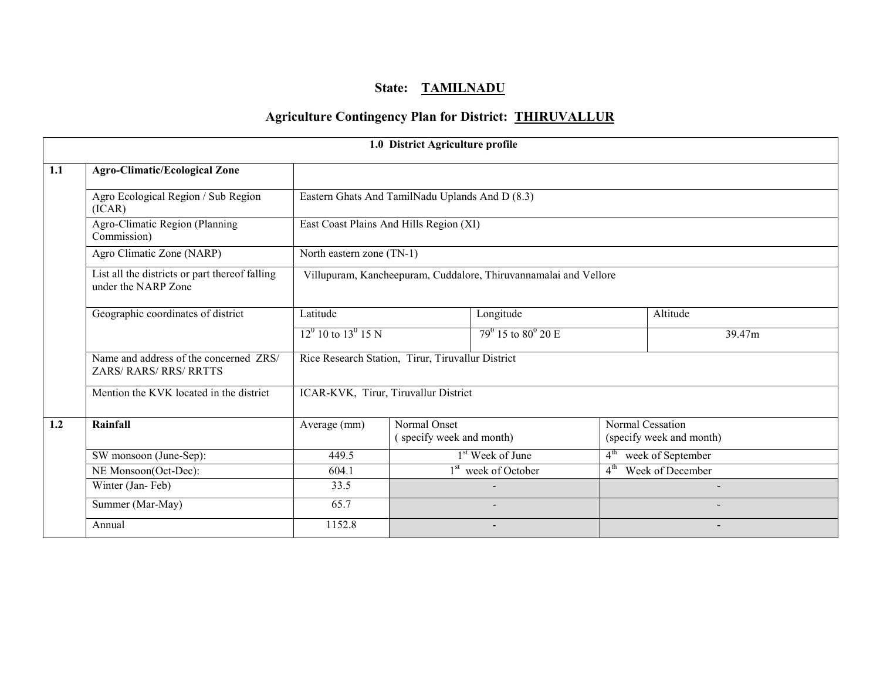# State: TAMILNADU

# Agriculture Contingency Plan for District: THIRUVALLUR

|     |                                                                       |                          | 1.0 District Agriculture profile                                 |                                 |                 |                                              |  |  |  |  |
|-----|-----------------------------------------------------------------------|--------------------------|------------------------------------------------------------------|---------------------------------|-----------------|----------------------------------------------|--|--|--|--|
| 1.1 | <b>Agro-Climatic/Ecological Zone</b>                                  |                          |                                                                  |                                 |                 |                                              |  |  |  |  |
|     | Agro Ecological Region / Sub Region<br>(ICAR)                         |                          | Eastern Ghats And TamilNadu Uplands And D (8.3)                  |                                 |                 |                                              |  |  |  |  |
|     | Agro-Climatic Region (Planning<br>Commission)                         |                          | East Coast Plains And Hills Region (XI)                          |                                 |                 |                                              |  |  |  |  |
|     | Agro Climatic Zone (NARP)                                             |                          | North eastern zone $(TN-1)$                                      |                                 |                 |                                              |  |  |  |  |
|     | List all the districts or part thereof falling<br>under the NARP Zone |                          | Villupuram, Kancheepuram, Cuddalore, Thiruvannamalai and Vellore |                                 |                 |                                              |  |  |  |  |
|     | Geographic coordinates of district                                    | Latitude                 |                                                                  | Longitude                       | Altitude        |                                              |  |  |  |  |
|     |                                                                       | $12^0$ 10 to $13^0$ 15 N | $79^{\circ}$ 15 to $80^{\circ}$ 20 E                             |                                 |                 | 39.47m                                       |  |  |  |  |
|     | Name and address of the concerned ZRS/<br>ZARS/RARS/RRS/RRTTS         |                          | Rice Research Station, Tirur, Tiruvallur District                |                                 |                 |                                              |  |  |  |  |
|     | Mention the KVK located in the district                               |                          | ICAR-KVK, Tirur, Tiruvallur District                             |                                 |                 |                                              |  |  |  |  |
| 1.2 | Rainfall                                                              | Average (mm)             | Normal Onset<br>(specify week and month)                         |                                 |                 | Normal Cessation<br>(specify week and month) |  |  |  |  |
|     | SW monsoon (June-Sep):                                                | 449.5                    |                                                                  | 1 <sup>st</sup> Week of June    | $4^{\text{th}}$ | week of September                            |  |  |  |  |
|     | NE Monsoon(Oct-Dec):                                                  | 604.1                    |                                                                  | 1 <sup>st</sup> week of October | $4^{\text{th}}$ | Week of December                             |  |  |  |  |
|     | Winter (Jan-Feb)                                                      | 33.5                     |                                                                  |                                 |                 |                                              |  |  |  |  |
|     | Summer (Mar-May)                                                      | 65.7                     |                                                                  |                                 |                 |                                              |  |  |  |  |
|     | Annual                                                                | 1152.8                   |                                                                  |                                 |                 |                                              |  |  |  |  |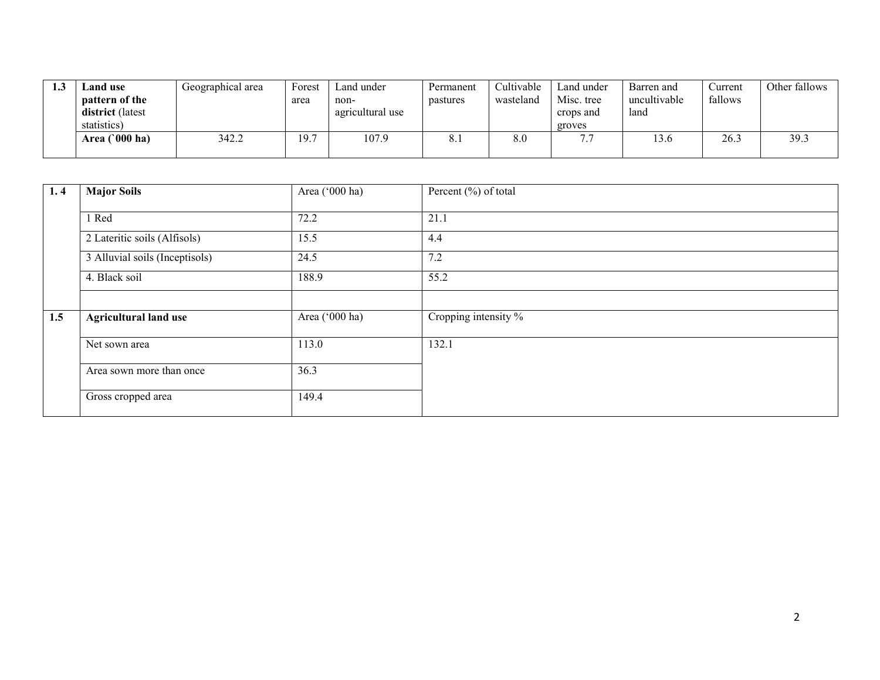| <b>Land use</b>                    | Geographical area | Forest | Land under               | Permanent | <b>Cultivable</b> | Land under              | Barren and           | Current | Other fallows |
|------------------------------------|-------------------|--------|--------------------------|-----------|-------------------|-------------------------|----------------------|---------|---------------|
| pattern of the<br>district (latest |                   | area   | non-<br>agricultural use | pastures  | wasteland         | Misc. tree<br>crops and | uncultivable<br>land | fallows |               |
| statistics)                        |                   |        |                          |           |                   | groves                  |                      |         |               |
| $^{\circ}000$ ha)<br>Area (        | 342.2             | 9.     | 107.9                    | o. I      | 8.0               | $\overline{ }$          | .3.C                 | 26.3    | 39.3          |
|                                    |                   |        |                          |           |                   |                         |                      |         |               |

| 1, 4 | <b>Major Soils</b>             | Area ('000 ha) | Percent $(\% )$ of total |
|------|--------------------------------|----------------|--------------------------|
|      | 1 Red                          | 72.2           | 21.1                     |
|      | 2 Lateritic soils (Alfisols)   | 15.5           | 4.4                      |
|      | 3 Alluvial soils (Inceptisols) | 24.5           | 7.2                      |
|      | 4. Black soil                  | 188.9          | 55.2                     |
|      |                                |                |                          |
| 1.5  | <b>Agricultural land use</b>   | Area ('000 ha) | Cropping intensity %     |
|      | Net sown area                  | 113.0          | 132.1                    |
|      | Area sown more than once       | 36.3           |                          |
|      | Gross cropped area             | 149.4          |                          |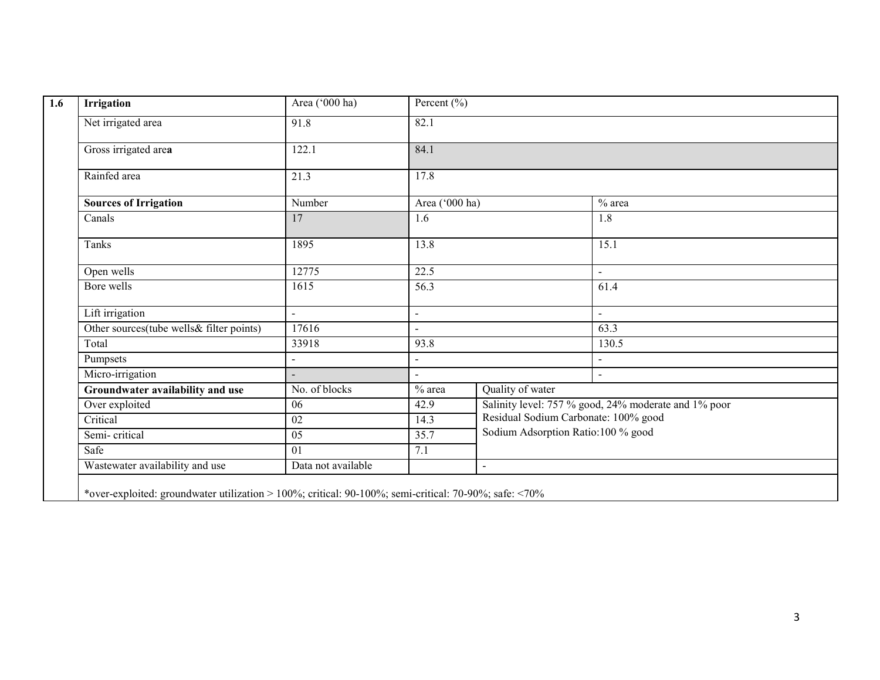| <b>Irrigation</b>                        | Area ('000 ha)     | Percent $\overline{(\frac{0}{0})}$ |                                      |                                                      |  |  |
|------------------------------------------|--------------------|------------------------------------|--------------------------------------|------------------------------------------------------|--|--|
| Net irrigated area                       | 91.8               | 82.1                               |                                      |                                                      |  |  |
| Gross irrigated area                     | 122.1              | 84.1                               |                                      |                                                      |  |  |
| Rainfed area                             | 21.3               | 17.8                               |                                      |                                                      |  |  |
| <b>Sources of Irrigation</b>             | Number             | Area ('000 ha)                     |                                      | $%$ area                                             |  |  |
| Canals                                   | 17                 | 1.6                                |                                      | 1.8                                                  |  |  |
| Tanks                                    | 1895               | 13.8                               |                                      | 15.1                                                 |  |  |
| Open wells                               | 12775              | 22.5                               |                                      | $\blacksquare$                                       |  |  |
| Bore wells                               | 1615               | 56.3                               |                                      | 61.4                                                 |  |  |
| Lift irrigation                          | $\blacksquare$     | $\blacksquare$                     |                                      | $\blacksquare$                                       |  |  |
| Other sources(tube wells& filter points) | 17616              | $\sim$                             |                                      | 63.3                                                 |  |  |
| Total                                    | 33918              | 93.8                               |                                      | 130.5                                                |  |  |
| Pumpsets                                 |                    | $\overline{a}$                     |                                      |                                                      |  |  |
| Micro-irrigation                         |                    | $\overline{a}$                     |                                      |                                                      |  |  |
| Groundwater availability and use         | No. of blocks      | $%$ area                           | Quality of water                     |                                                      |  |  |
| Over exploited                           | 06                 | 42.9                               |                                      | Salinity level: 757 % good, 24% moderate and 1% poor |  |  |
| Critical                                 | 02                 | 14.3                               | Residual Sodium Carbonate: 100% good |                                                      |  |  |
| Semi-critical                            | 05                 | 35.7                               | Sodium Adsorption Ratio:100 % good   |                                                      |  |  |
| Safe                                     | 01                 | 7.1                                |                                      |                                                      |  |  |
| Wastewater availability and use          | Data not available |                                    | $\overline{a}$                       |                                                      |  |  |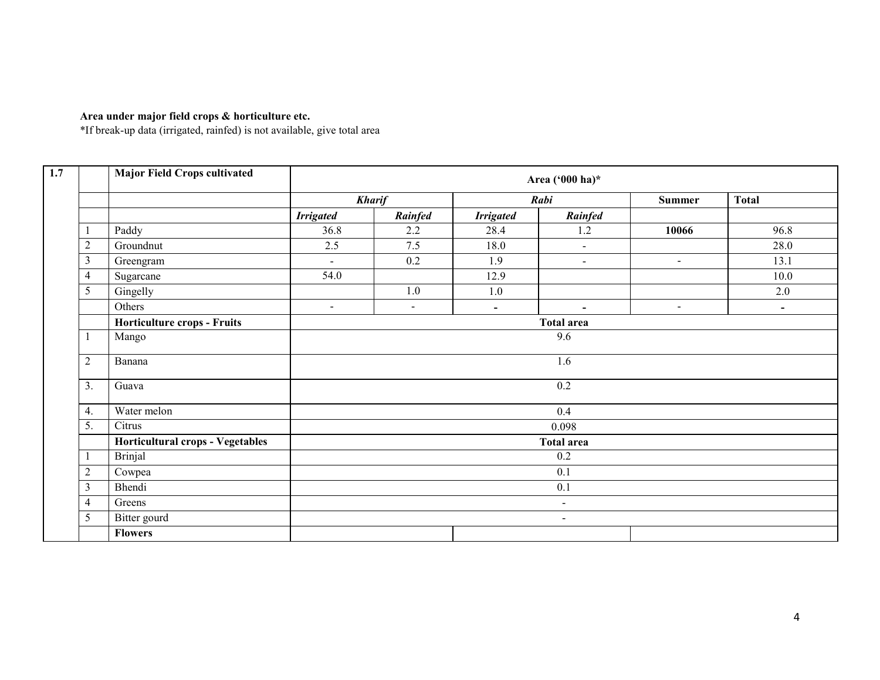#### Area under major field crops & horticulture etc.

\*If break-up data (irrigated, rainfed) is not available, give total area

|                | <b>Major Field Crops cultivated</b> |                   |                |                          | Area ('000 ha)*          |               |                          |  |  |
|----------------|-------------------------------------|-------------------|----------------|--------------------------|--------------------------|---------------|--------------------------|--|--|
|                |                                     |                   | <b>Kharif</b>  |                          | Rabi                     | <b>Summer</b> | <b>Total</b>             |  |  |
|                |                                     | <b>Irrigated</b>  | Rainfed        | <b>Irrigated</b>         | Rainfed                  |               |                          |  |  |
| 1              | Paddy                               | 36.8              | 2.2            | 28.4                     | 1.2                      | 10066         | 96.8                     |  |  |
| $\overline{2}$ | Groundnut                           | 2.5               | 7.5            | 18.0                     | $\blacksquare$           |               | 28.0                     |  |  |
| $\mathfrak{Z}$ | Greengram                           | $\sim$            | 0.2            | 1.9                      | $\blacksquare$           | $\sim$        | 13.1                     |  |  |
| $\overline{4}$ | Sugarcane                           | 54.0              |                | 12.9                     |                          |               | 10.0                     |  |  |
| 5              | Gingelly                            |                   | 1.0            | 1.0                      |                          |               | 2.0                      |  |  |
|                | Others                              | $\sim$            | $\blacksquare$ | $\overline{\phantom{a}}$ | $\overline{\phantom{a}}$ | $\sim$        | $\overline{\phantom{a}}$ |  |  |
|                | Horticulture crops - Fruits         | <b>Total area</b> |                |                          |                          |               |                          |  |  |
| 1              | Mango                               | 9.6               |                |                          |                          |               |                          |  |  |
| $\overline{2}$ | Banana                              |                   |                |                          | 1.6                      |               |                          |  |  |
| 3.             | Guava                               |                   |                |                          | 0.2                      |               |                          |  |  |
| 4.             | Water melon                         |                   |                |                          | 0.4                      |               |                          |  |  |
| 5.             | Citrus                              |                   |                |                          | 0.098                    |               |                          |  |  |
|                | Horticultural crops - Vegetables    |                   |                |                          | <b>Total area</b>        |               |                          |  |  |
| -1             | <b>Brinjal</b>                      |                   |                |                          | 0.2                      |               |                          |  |  |
| $\sqrt{2}$     | Cowpea                              |                   |                |                          | 0.1                      |               |                          |  |  |
| $\mathfrak{Z}$ | Bhendi                              |                   |                |                          | 0.1                      |               |                          |  |  |
| 4              | Greens                              |                   |                |                          | $\sim$                   |               |                          |  |  |
| 5              | Bitter gourd                        |                   |                |                          | $\sim$                   |               |                          |  |  |
|                | <b>Flowers</b>                      |                   |                |                          |                          |               |                          |  |  |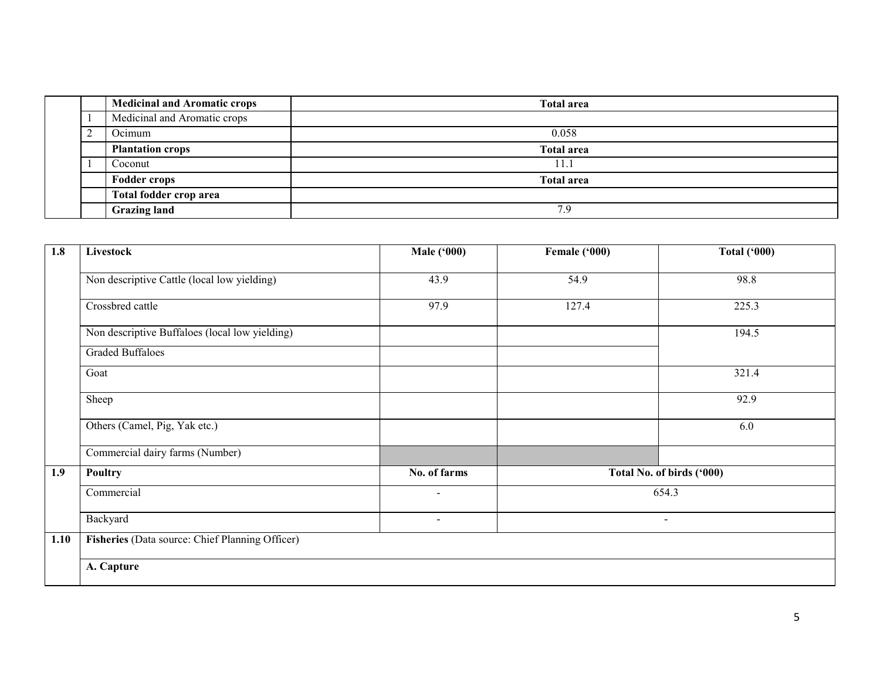|   | <b>Medicinal and Aromatic crops</b> | <b>Total area</b> |
|---|-------------------------------------|-------------------|
|   | Medicinal and Aromatic crops        |                   |
| ◠ | Ocimum                              | 0.058             |
|   | <b>Plantation crops</b>             | <b>Total area</b> |
|   | Coconut                             | 11.1              |
|   | <b>Fodder crops</b>                 | <b>Total area</b> |
|   | Total fodder crop area              |                   |
|   | <b>Grazing land</b>                 | 7.9               |

| 1.8  | Livestock                                       | <b>Male ('000)</b>       | Female ('000)             | <b>Total ('000)</b> |
|------|-------------------------------------------------|--------------------------|---------------------------|---------------------|
|      | Non descriptive Cattle (local low yielding)     | 43.9                     | 54.9                      | 98.8                |
|      | Crossbred cattle                                | 97.9                     | 127.4                     | 225.3               |
|      | Non descriptive Buffaloes (local low yielding)  |                          |                           | 194.5               |
|      | <b>Graded Buffaloes</b>                         |                          |                           |                     |
|      | Goat                                            |                          |                           | 321.4               |
|      | Sheep                                           |                          |                           | 92.9                |
|      | Others (Camel, Pig, Yak etc.)                   |                          |                           | 6.0                 |
|      | Commercial dairy farms (Number)                 |                          |                           |                     |
| 1.9  | Poultry                                         | No. of farms             | Total No. of birds ('000) |                     |
|      | Commercial                                      | $\overline{\phantom{a}}$ | 654.3                     |                     |
|      | Backyard                                        | $\sim$                   | $\blacksquare$            |                     |
| 1.10 | Fisheries (Data source: Chief Planning Officer) |                          |                           |                     |
|      | A. Capture                                      |                          |                           |                     |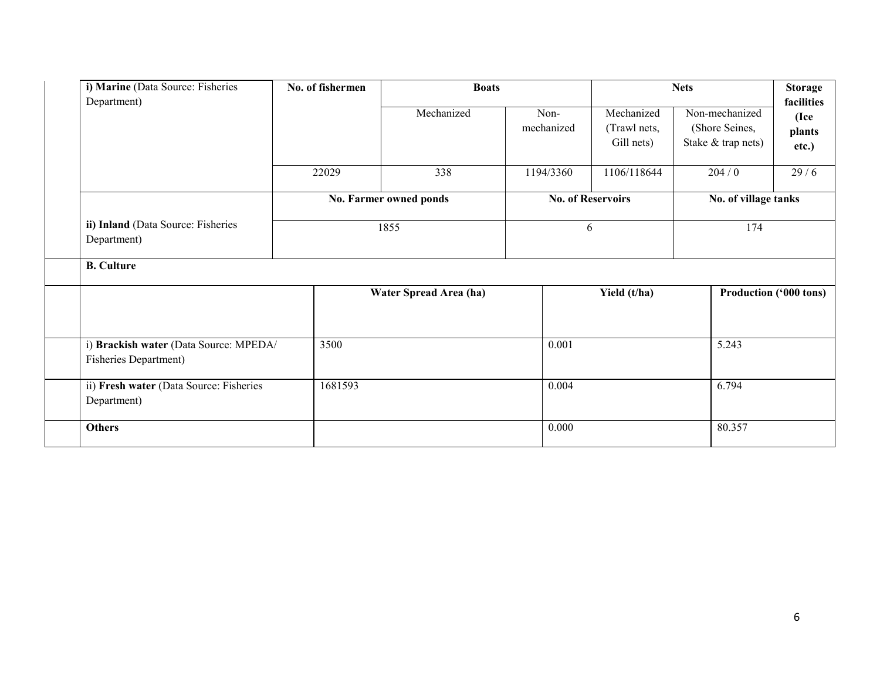| i) Marine (Data Source: Fisheries<br>Department)                | No. of fishermen | <b>Boats</b>           |                    |                                          | <b>Nets</b>                                            | <b>Storage</b><br>facilities  |
|-----------------------------------------------------------------|------------------|------------------------|--------------------|------------------------------------------|--------------------------------------------------------|-------------------------------|
|                                                                 |                  | Mechanized             | Non-<br>mechanized | Mechanized<br>(Trawl nets,<br>Gill nets) | Non-mechanized<br>(Shore Seines,<br>Stake & trap nets) | (Ice<br>plants<br>etc.)       |
|                                                                 | 22029            | 338                    | 1194/3360          | 1106/118644                              | 204/0                                                  | 29/6                          |
|                                                                 |                  | No. Farmer owned ponds |                    | <b>No. of Reservoirs</b>                 | No. of village tanks                                   |                               |
| ii) Inland (Data Source: Fisheries<br>Department)               |                  | 1855                   |                    | 6                                        | 174                                                    |                               |
| <b>B.</b> Culture                                               |                  |                        |                    |                                          |                                                        |                               |
|                                                                 |                  | Water Spread Area (ha) |                    | Yield (t/ha)                             |                                                        | <b>Production ('000 tons)</b> |
| i) Brackish water (Data Source: MPEDA/<br>Fisheries Department) | 3500             |                        | 0.001              |                                          | 5.243                                                  |                               |
| ii) Fresh water (Data Source: Fisheries<br>Department)          | 1681593          |                        | 0.004              |                                          | 6.794                                                  |                               |
| <b>Others</b>                                                   |                  |                        | 0.000              |                                          | 80.357                                                 |                               |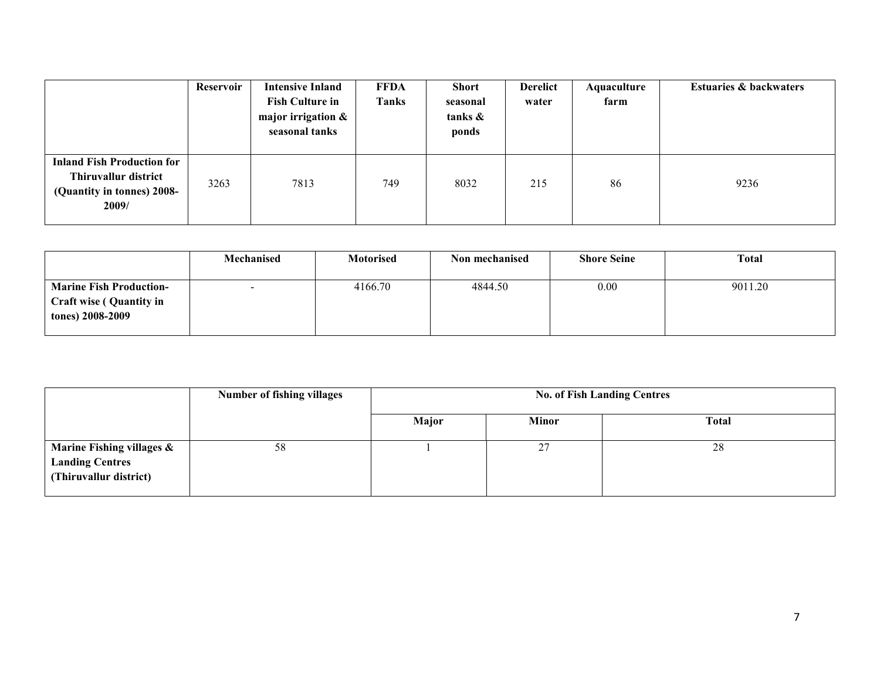|                                                                                                  | Reservoir | <b>Intensive Inland</b><br><b>Fish Culture in</b><br>major irrigation &<br>seasonal tanks | <b>FFDA</b><br>Tanks | <b>Short</b><br>seasonal<br>tanks &<br>ponds | <b>Derelict</b><br>water | Aquaculture<br>farm | <b>Estuaries &amp; backwaters</b> |
|--------------------------------------------------------------------------------------------------|-----------|-------------------------------------------------------------------------------------------|----------------------|----------------------------------------------|--------------------------|---------------------|-----------------------------------|
| <b>Inland Fish Production for</b><br>Thiruvallur district<br>(Quantity in tonnes) 2008-<br>2009/ | 3263      | 7813                                                                                      | 749                  | 8032                                         | 215                      | 86                  | 9236                              |

|                                                                                      | Mechanised | <b>Motorised</b> | Non mechanised | <b>Shore Seine</b> | <b>Total</b> |
|--------------------------------------------------------------------------------------|------------|------------------|----------------|--------------------|--------------|
| <b>Marine Fish Production-</b><br><b>Craft wise (Quantity in</b><br>tones) 2008-2009 | $\sim$     | 4166.70          | 4844.50        | 0.00               | 9011.20      |

|                                                                               | <b>Number of fishing villages</b> |       | <b>No. of Fish Landing Centres</b> |              |  |  |  |  |
|-------------------------------------------------------------------------------|-----------------------------------|-------|------------------------------------|--------------|--|--|--|--|
|                                                                               |                                   | Major | <b>Minor</b>                       | <b>Total</b> |  |  |  |  |
| Marine Fishing villages &<br><b>Landing Centres</b><br>(Thiruvallur district) | 58                                |       | 27                                 | 28           |  |  |  |  |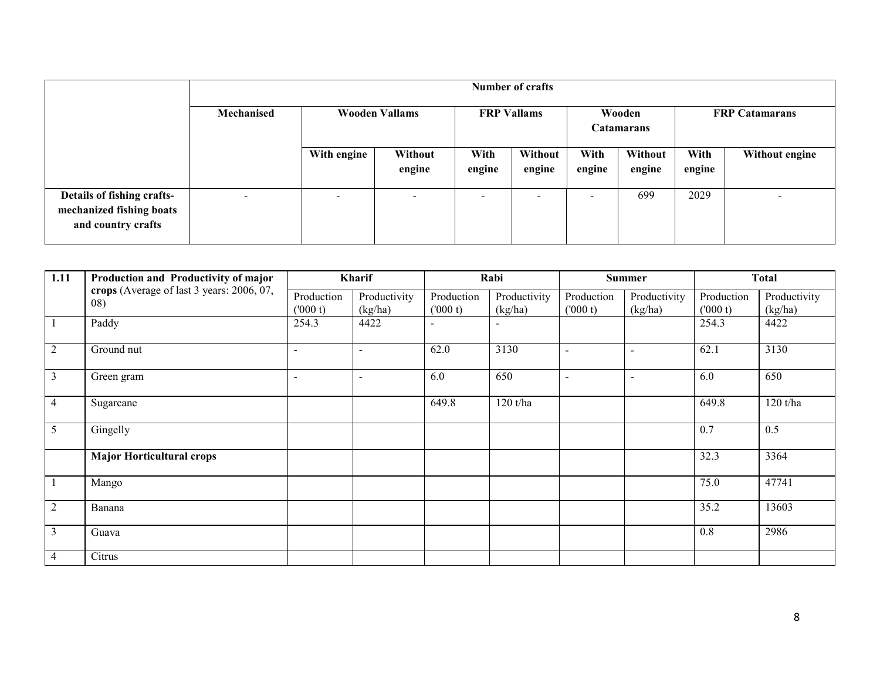|                                                                              |                          | Number of crafts         |                       |                |                    |                |                      |                |                       |  |
|------------------------------------------------------------------------------|--------------------------|--------------------------|-----------------------|----------------|--------------------|----------------|----------------------|----------------|-----------------------|--|
|                                                                              | Mechanised               |                          | <b>Wooden Vallams</b> |                | <b>FRP Vallams</b> |                | Wooden<br>Catamarans |                | <b>FRP</b> Catamarans |  |
|                                                                              |                          | With engine              | Without<br>engine     | With<br>engine | Without<br>engine  | With<br>engine | Without<br>engine    | With<br>engine | Without engine        |  |
| Details of fishing crafts-<br>mechanized fishing boats<br>and country crafts | $\overline{\phantom{0}}$ | $\overline{\phantom{0}}$ |                       | -              | -                  | -              | 699                  | 2029           | -                     |  |

| 1.11           | Production and Productivity of major             | Kharif                   |                          | Rabi                  |                         | <b>Summer</b>            |                          | <b>Total</b>          |                         |
|----------------|--------------------------------------------------|--------------------------|--------------------------|-----------------------|-------------------------|--------------------------|--------------------------|-----------------------|-------------------------|
|                | crops (Average of last 3 years: 2006, 07,<br>08) | Production<br>(000 t)    | Productivity<br>(kg/ha)  | Production<br>(000 t) | Productivity<br>(kg/ha) | Production<br>(000 t)    | Productivity<br>(kg/ha)  | Production<br>(000 t) | Productivity<br>(kg/ha) |
|                | Paddy                                            | 254.3                    | 4422                     |                       |                         |                          |                          | 254.3                 | 4422                    |
| $\overline{2}$ | Ground nut                                       | $\blacksquare$           | $\sim$                   | 62.0                  | 3130                    | $\overline{\phantom{a}}$ | $\overline{a}$           | 62.1                  | 3130                    |
| $\overline{3}$ | Green gram                                       | $\overline{\phantom{a}}$ | $\overline{\phantom{a}}$ | 6.0                   | 650                     |                          | $\overline{\phantom{a}}$ | 6.0                   | 650                     |
| $\overline{4}$ | Sugarcane                                        |                          |                          | 649.8                 | 120 t/ha                |                          |                          | 649.8                 | 120 t/ha                |
| 5              | Gingelly                                         |                          |                          |                       |                         |                          |                          | 0.7                   | 0.5                     |
|                | <b>Major Horticultural crops</b>                 |                          |                          |                       |                         |                          |                          | 32.3                  | 3364                    |
|                | Mango                                            |                          |                          |                       |                         |                          |                          | 75.0                  | 47741                   |
| $\overline{2}$ | Banana                                           |                          |                          |                       |                         |                          |                          | 35.2                  | 13603                   |
| 3              | Guava                                            |                          |                          |                       |                         |                          |                          | 0.8                   | 2986                    |
| $\overline{4}$ | Citrus                                           |                          |                          |                       |                         |                          |                          |                       |                         |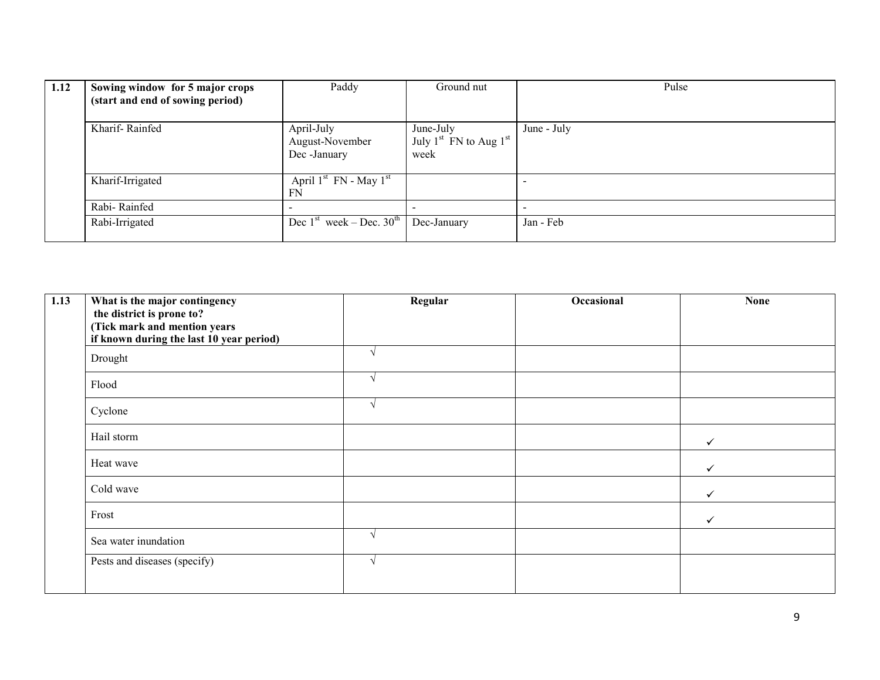| 1.12 | Sowing window for 5 major crops<br>(start and end of sowing period) | Paddy                                         | Ground nut                                      | Pulse       |
|------|---------------------------------------------------------------------|-----------------------------------------------|-------------------------------------------------|-------------|
|      | Kharif-Rainfed                                                      | April-July<br>August-November<br>Dec -January | June-July<br>July $1st$ FN to Aug $1st$<br>week | June - July |
|      | Kharif-Irrigated                                                    | April $1st$ FN - May $1st$<br>FN              |                                                 |             |
|      | Rabi-Rainfed                                                        |                                               |                                                 |             |
|      | Rabi-Irrigated                                                      | Dec $1st$ week – Dec. $30th$                  | Dec-January                                     | Jan - Feb   |

| 1.13 | What is the major contingency<br>the district is prone to? | Regular | Occasional | <b>None</b>  |
|------|------------------------------------------------------------|---------|------------|--------------|
|      | (Tick mark and mention years                               |         |            |              |
|      | if known during the last 10 year period)                   |         |            |              |
|      | Drought                                                    |         |            |              |
|      | Flood                                                      |         |            |              |
|      | Cyclone                                                    |         |            |              |
|      | Hail storm                                                 |         |            | $\checkmark$ |
|      | Heat wave                                                  |         |            | $\checkmark$ |
|      | Cold wave                                                  |         |            | ✓            |
|      | Frost                                                      |         |            | $\checkmark$ |
|      | Sea water inundation                                       |         |            |              |
|      | Pests and diseases (specify)                               |         |            |              |
|      |                                                            |         |            |              |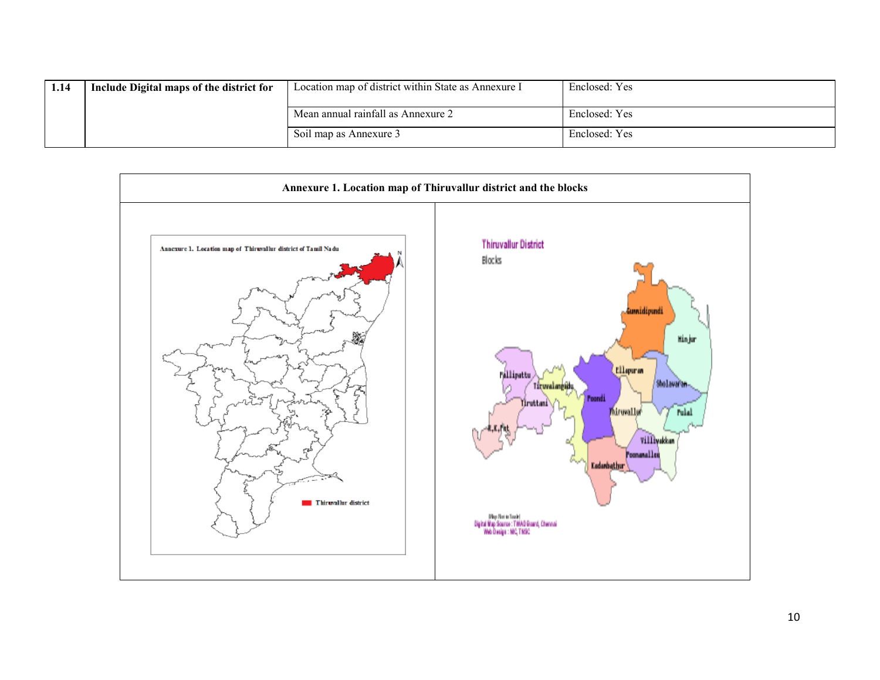| 1.14 | Include Digital maps of the district for | Location map of district within State as Annexure I | Enclosed: Yes |
|------|------------------------------------------|-----------------------------------------------------|---------------|
|      |                                          | Mean annual rainfall as Annexure 2                  | Enclosed: Yes |
|      |                                          | Soil map as Annexure 3                              | Enclosed: Yes |

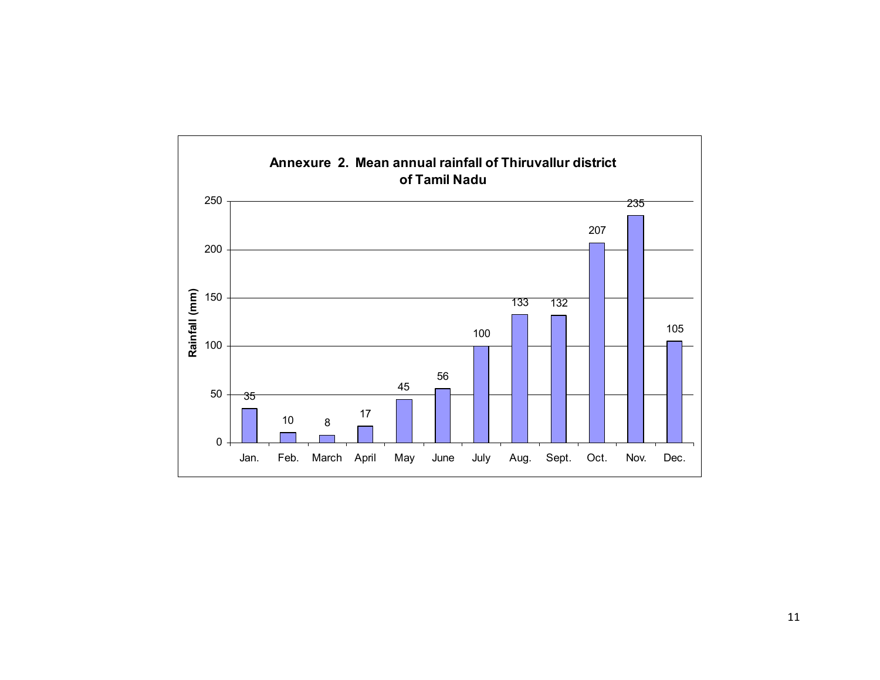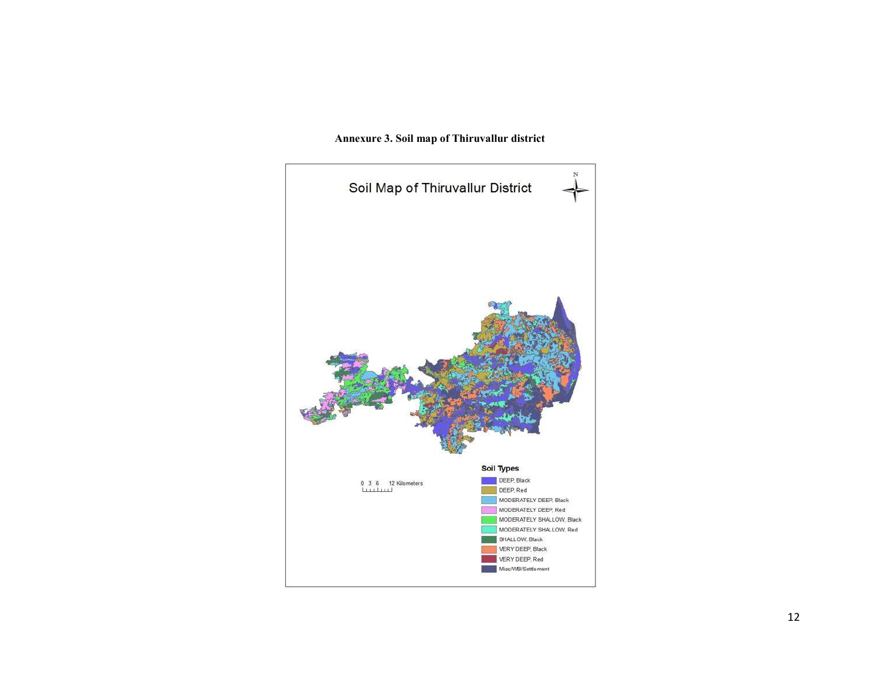

#### Annexure 3. Soil map of Thiruvallur district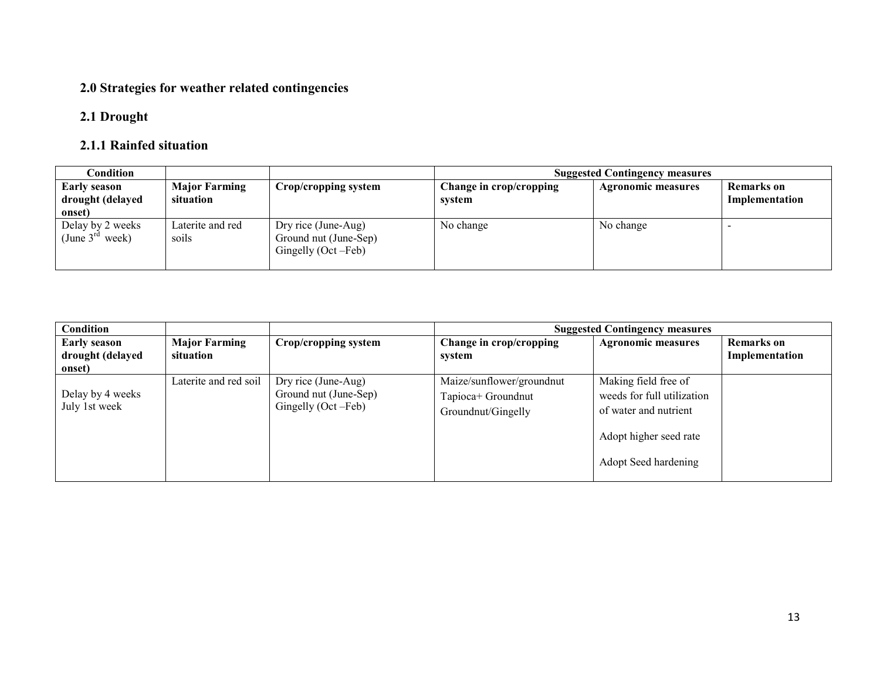# 2.0 Strategies for weather related contingencies

## 2.1 Drought

# 2.1.1 Rainfed situation

| Condition                                         |                                   |                                                                      | <b>Suggested Contingency measures</b> |                           |                              |  |
|---------------------------------------------------|-----------------------------------|----------------------------------------------------------------------|---------------------------------------|---------------------------|------------------------------|--|
| <b>Early season</b><br>drought (delayed<br>onset) | <b>Major Farming</b><br>situation | Crop/cropping system                                                 | Change in crop/cropping<br>system     | <b>Agronomic measures</b> | Remarks on<br>Implementation |  |
| Delay by 2 weeks<br>(June $3^{ra}$ week)          | Laterite and red<br>soils         | Dry rice (June-Aug)<br>Ground nut (June-Sep)<br>Gingelly (Oct – Feb) | No change                             | No change                 |                              |  |

| Condition                                         |                                   |                                                                      | <b>Suggested Contingency measures</b>                                 |                                                                                                                               |                                     |  |
|---------------------------------------------------|-----------------------------------|----------------------------------------------------------------------|-----------------------------------------------------------------------|-------------------------------------------------------------------------------------------------------------------------------|-------------------------------------|--|
| <b>Early season</b><br>drought (delayed<br>onset) | <b>Major Farming</b><br>situation | Crop/cropping system                                                 | Change in crop/cropping<br>system                                     | <b>Agronomic measures</b>                                                                                                     | <b>Remarks</b> on<br>Implementation |  |
| Delay by 4 weeks<br>July 1st week                 | Laterite and red soil             | Dry rice (June-Aug)<br>Ground nut (June-Sep)<br>Gingelly (Oct – Feb) | Maize/sunflower/groundnut<br>Tapioca+ Groundnut<br>Groundnut/Gingelly | Making field free of<br>weeds for full utilization<br>of water and nutrient<br>Adopt higher seed rate<br>Adopt Seed hardening |                                     |  |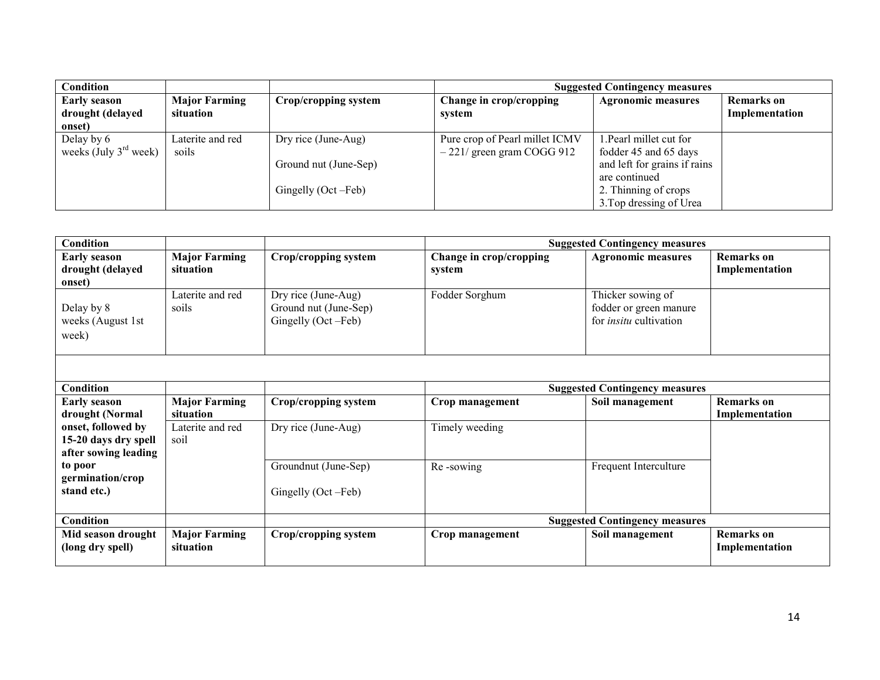| Condition               |                      |                       | <b>Suggested Contingency measures</b> |                              |                   |  |
|-------------------------|----------------------|-----------------------|---------------------------------------|------------------------------|-------------------|--|
| <b>Early season</b>     | <b>Major Farming</b> | Crop/cropping system  | Change in crop/cropping               | <b>Agronomic measures</b>    | <b>Remarks</b> on |  |
| drought (delayed        | situation            |                       | system                                |                              | Implementation    |  |
| onset)                  |                      |                       |                                       |                              |                   |  |
| Delay by 6              | Laterite and red     | Dry rice (June-Aug)   | Pure crop of Pearl millet ICMV        | 1. Pearl millet cut for      |                   |  |
| weeks (July $3rd$ week) | soils                |                       | $-221/$ green gram COGG 912           | fodder 45 and 65 days        |                   |  |
|                         |                      | Ground nut (June-Sep) |                                       | and left for grains if rains |                   |  |
|                         |                      |                       |                                       | are continued                |                   |  |
|                         |                      | Gingelly (Oct – Feb)  |                                       | 2. Thinning of crops         |                   |  |
|                         |                      |                       |                                       | 3. Top dressing of Urea      |                   |  |

| Condition                                                          |                                   |                                                                    |                                   | <b>Suggested Contingency measures</b>                                        |                                     |
|--------------------------------------------------------------------|-----------------------------------|--------------------------------------------------------------------|-----------------------------------|------------------------------------------------------------------------------|-------------------------------------|
| <b>Early season</b><br>drought (delayed<br>onset)                  | <b>Major Farming</b><br>situation | Crop/cropping system                                               | Change in crop/cropping<br>system | <b>Agronomic measures</b>                                                    | <b>Remarks</b> on<br>Implementation |
| Delay by 8<br>weeks (August 1st<br>week)                           | Laterite and red<br>soils         | Dry rice (June-Aug)<br>Ground nut (June-Sep)<br>Gingelly (Oct-Feb) | Fodder Sorghum                    | Thicker sowing of<br>fodder or green manure<br>for <i>insitu</i> cultivation |                                     |
|                                                                    |                                   |                                                                    |                                   |                                                                              |                                     |
| Condition                                                          |                                   |                                                                    |                                   | <b>Suggested Contingency measures</b>                                        |                                     |
| <b>Early season</b><br>drought (Normal                             | <b>Major Farming</b><br>situation | Crop/cropping system                                               | Crop management                   | Soil management                                                              | <b>Remarks</b> on<br>Implementation |
| onset, followed by<br>15-20 days dry spell<br>after sowing leading | Laterite and red<br>soil          | Dry rice (June-Aug)                                                | Timely weeding                    |                                                                              |                                     |
| to poor<br>germination/crop<br>stand etc.)                         |                                   | Groundnut (June-Sep)<br>Gingelly (Oct – Feb)                       | Re-sowing                         | Frequent Interculture                                                        |                                     |
| Condition                                                          |                                   |                                                                    |                                   | <b>Suggested Contingency measures</b>                                        |                                     |
| Mid season drought<br>(long dry spell)                             | <b>Major Farming</b><br>situation | Crop/cropping system                                               | Crop management                   | Soil management                                                              | <b>Remarks</b> on<br>Implementation |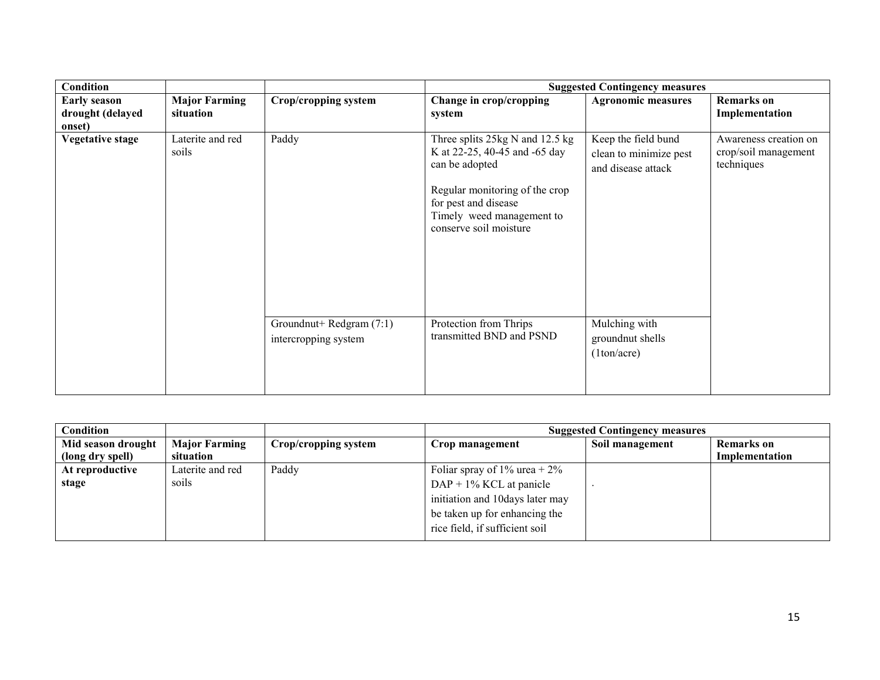| <b>Condition</b>        |                           |                                                  |                                                                                                                                                                                                     | <b>Suggested Contingency measures</b>                               |                                                             |
|-------------------------|---------------------------|--------------------------------------------------|-----------------------------------------------------------------------------------------------------------------------------------------------------------------------------------------------------|---------------------------------------------------------------------|-------------------------------------------------------------|
| <b>Early season</b>     | <b>Major Farming</b>      | Crop/cropping system                             | Change in crop/cropping                                                                                                                                                                             | <b>Agronomic measures</b>                                           | <b>Remarks</b> on                                           |
| drought (delayed        | situation                 |                                                  | system                                                                                                                                                                                              |                                                                     | Implementation                                              |
| onset)                  |                           |                                                  |                                                                                                                                                                                                     |                                                                     |                                                             |
| <b>Vegetative stage</b> | Laterite and red<br>soils | Paddy                                            | Three splits 25kg N and 12.5 kg<br>K at 22-25, 40-45 and -65 day<br>can be adopted<br>Regular monitoring of the crop<br>for pest and disease<br>Timely weed management to<br>conserve soil moisture | Keep the field bund<br>clean to minimize pest<br>and disease attack | Awareness creation on<br>crop/soil management<br>techniques |
|                         |                           | Groundnut+ Redgram (7:1)<br>intercropping system | Protection from Thrips<br>transmitted BND and PSND                                                                                                                                                  | Mulching with<br>groundnut shells<br>(1ton/acre)                    |                                                             |

| Condition                              |                                   |                      | <b>Suggested Contingency measures</b>                                                                                                                               |                 |                              |  |
|----------------------------------------|-----------------------------------|----------------------|---------------------------------------------------------------------------------------------------------------------------------------------------------------------|-----------------|------------------------------|--|
| Mid season drought<br>(long dry spell) | <b>Major Farming</b><br>situation | Crop/cropping system | Crop management                                                                                                                                                     | Soil management | Remarks on<br>Implementation |  |
| At reproductive<br>stage               | Laterite and red<br>soils         | Paddy                | Foliar spray of 1% urea + $2\%$<br>$DAP + 1\%$ KCL at panicle<br>initiation and 10days later may<br>be taken up for enhancing the<br>rice field, if sufficient soil |                 |                              |  |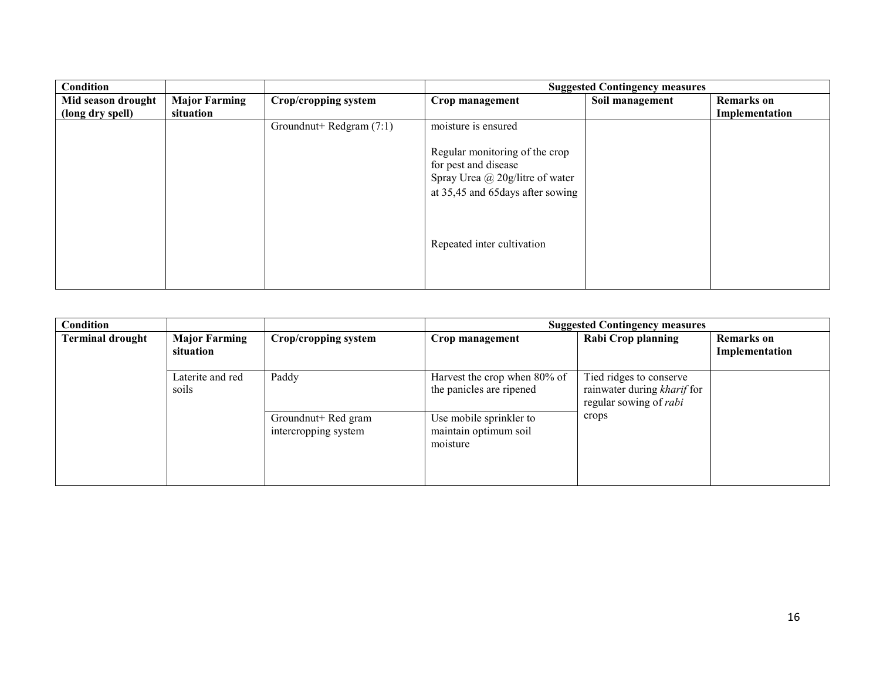| <b>Condition</b>   |                      |                          |                                                                                                                                                              | <b>Suggested Contingency measures</b> |                   |
|--------------------|----------------------|--------------------------|--------------------------------------------------------------------------------------------------------------------------------------------------------------|---------------------------------------|-------------------|
| Mid season drought | <b>Major Farming</b> | Crop/cropping system     | Crop management                                                                                                                                              | Soil management                       | <b>Remarks</b> on |
| (long dry spell)   | situation            |                          |                                                                                                                                                              |                                       | Implementation    |
|                    |                      | Groundnut+ Redgram (7:1) | moisture is ensured                                                                                                                                          |                                       |                   |
|                    |                      |                          | Regular monitoring of the crop<br>for pest and disease<br>Spray Urea @ 20g/litre of water<br>at 35,45 and 65 days after sowing<br>Repeated inter cultivation |                                       |                   |

| Condition               |                                   |                                             |                                                              | <b>Suggested Contingency measures</b>                                                   |                                     |
|-------------------------|-----------------------------------|---------------------------------------------|--------------------------------------------------------------|-----------------------------------------------------------------------------------------|-------------------------------------|
| <b>Terminal drought</b> | <b>Major Farming</b><br>situation | Crop/cropping system                        | Crop management                                              | Rabi Crop planning                                                                      | <b>Remarks</b> on<br>Implementation |
|                         | Laterite and red<br>soils         | Paddy                                       | Harvest the crop when 80% of<br>the panicles are ripened     | Tied ridges to conserve<br>rainwater during kharif for<br>regular sowing of <i>rabi</i> |                                     |
|                         |                                   | Groundnut+ Red gram<br>intercropping system | Use mobile sprinkler to<br>maintain optimum soil<br>moisture | crops                                                                                   |                                     |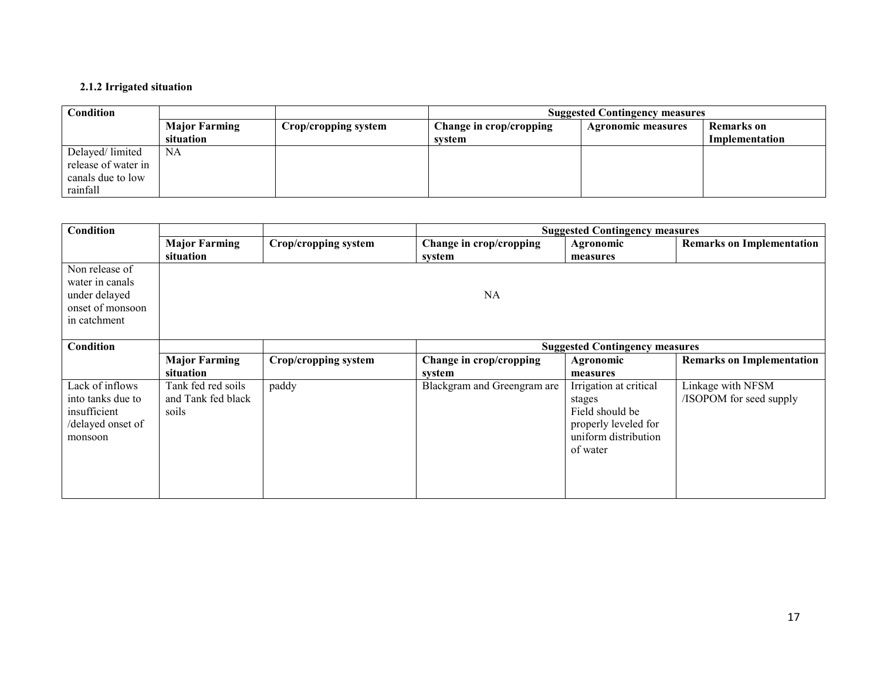#### 2.1.2 Irrigated situation

| Condition           |                      |                      | <b>Suggested Contingency measures</b> |                           |                |
|---------------------|----------------------|----------------------|---------------------------------------|---------------------------|----------------|
|                     | <b>Major Farming</b> | Crop/cropping system | Change in crop/cropping               | <b>Agronomic measures</b> | Remarks on     |
|                     | situation            |                      | system                                |                           | Implementation |
| Delayed/limited     | NA N                 |                      |                                       |                           |                |
| release of water in |                      |                      |                                       |                           |                |
| canals due to low   |                      |                      |                                       |                           |                |
| rainfall            |                      |                      |                                       |                           |                |

| Condition                                                                              |                                                   |                      |                                   | <b>Suggested Contingency measures</b>                                                                           |                                              |
|----------------------------------------------------------------------------------------|---------------------------------------------------|----------------------|-----------------------------------|-----------------------------------------------------------------------------------------------------------------|----------------------------------------------|
|                                                                                        | <b>Major Farming</b><br>situation                 | Crop/cropping system | Change in crop/cropping<br>system | Agronomic<br>measures                                                                                           | <b>Remarks on Implementation</b>             |
| Non release of<br>water in canals<br>under delayed<br>onset of monsoon<br>in catchment |                                                   |                      | <b>NA</b>                         |                                                                                                                 |                                              |
| Condition                                                                              |                                                   |                      |                                   | <b>Suggested Contingency measures</b>                                                                           |                                              |
|                                                                                        | <b>Major Farming</b><br>situation                 | Crop/cropping system | Change in crop/cropping<br>system | Agronomic<br>measures                                                                                           | <b>Remarks on Implementation</b>             |
| Lack of inflows<br>into tanks due to<br>insufficient<br>/delayed onset of<br>monsoon   | Tank fed red soils<br>and Tank fed black<br>soils | paddy                | Blackgram and Greengram are       | Irrigation at critical<br>stages<br>Field should be<br>properly leveled for<br>uniform distribution<br>of water | Linkage with NFSM<br>/ISOPOM for seed supply |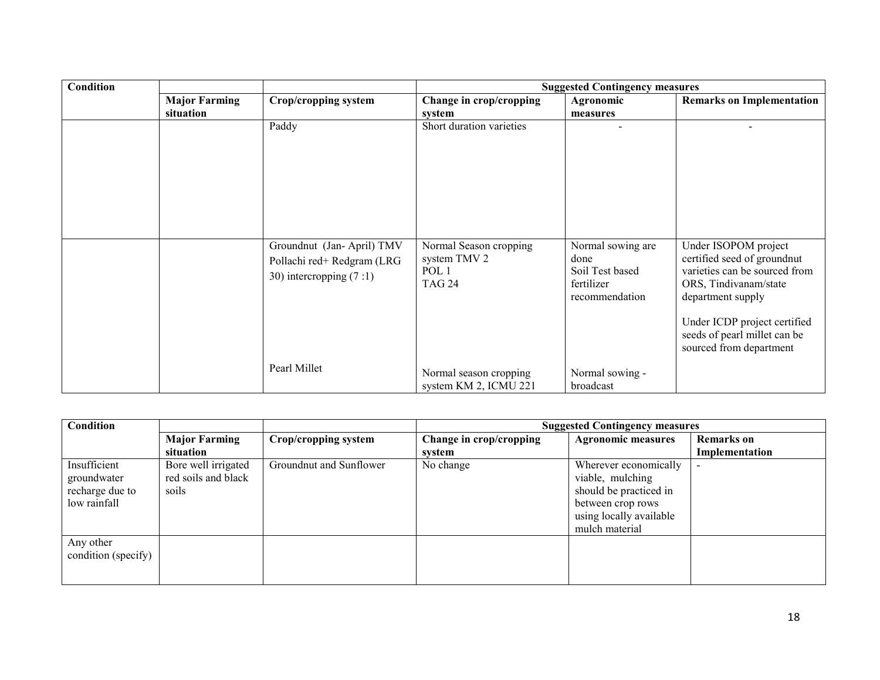| Condition |                      |                                                                                      |                                                                             | <b>Suggested Contingency measures</b>                                        |                                                                                                                                                                                                                               |
|-----------|----------------------|--------------------------------------------------------------------------------------|-----------------------------------------------------------------------------|------------------------------------------------------------------------------|-------------------------------------------------------------------------------------------------------------------------------------------------------------------------------------------------------------------------------|
|           | <b>Major Farming</b> | Crop/cropping system                                                                 | Change in crop/cropping                                                     | Agronomic                                                                    | <b>Remarks on Implementation</b>                                                                                                                                                                                              |
|           | situation            |                                                                                      | system                                                                      | measures                                                                     |                                                                                                                                                                                                                               |
|           |                      | Paddy                                                                                | Short duration varieties                                                    |                                                                              |                                                                                                                                                                                                                               |
|           |                      | Groundnut (Jan-April) TMV<br>Pollachi red+ Redgram (LRG<br>30) intercropping $(7:1)$ | Normal Season cropping<br>system TMV 2<br>POL <sub>1</sub><br><b>TAG 24</b> | Normal sowing are<br>done<br>Soil Test based<br>fertilizer<br>recommendation | Under ISOPOM project<br>certified seed of groundnut<br>varieties can be sourced from<br>ORS, Tindivanam/state<br>department supply<br>Under ICDP project certified<br>seeds of pearl millet can be<br>sourced from department |
|           |                      | Pearl Millet                                                                         | Normal season cropping<br>system KM 2, ICMU 221                             | Normal sowing -<br>broadcast                                                 |                                                                                                                                                                                                                               |

| Condition                                                      |                                                     |                         | <b>Suggested Contingency measures</b> |                                                                                                                                       |                   |
|----------------------------------------------------------------|-----------------------------------------------------|-------------------------|---------------------------------------|---------------------------------------------------------------------------------------------------------------------------------------|-------------------|
|                                                                | <b>Major Farming</b>                                | Crop/cropping system    | Change in crop/cropping               | <b>Agronomic measures</b>                                                                                                             | <b>Remarks</b> on |
|                                                                | situation                                           |                         | system                                |                                                                                                                                       | Implementation    |
| Insufficient<br>groundwater<br>recharge due to<br>low rainfall | Bore well irrigated<br>red soils and black<br>soils | Groundnut and Sunflower | No change                             | Wherever economically<br>viable, mulching<br>should be practiced in<br>between crop rows<br>using locally available<br>mulch material |                   |
| Any other<br>condition (specify)                               |                                                     |                         |                                       |                                                                                                                                       |                   |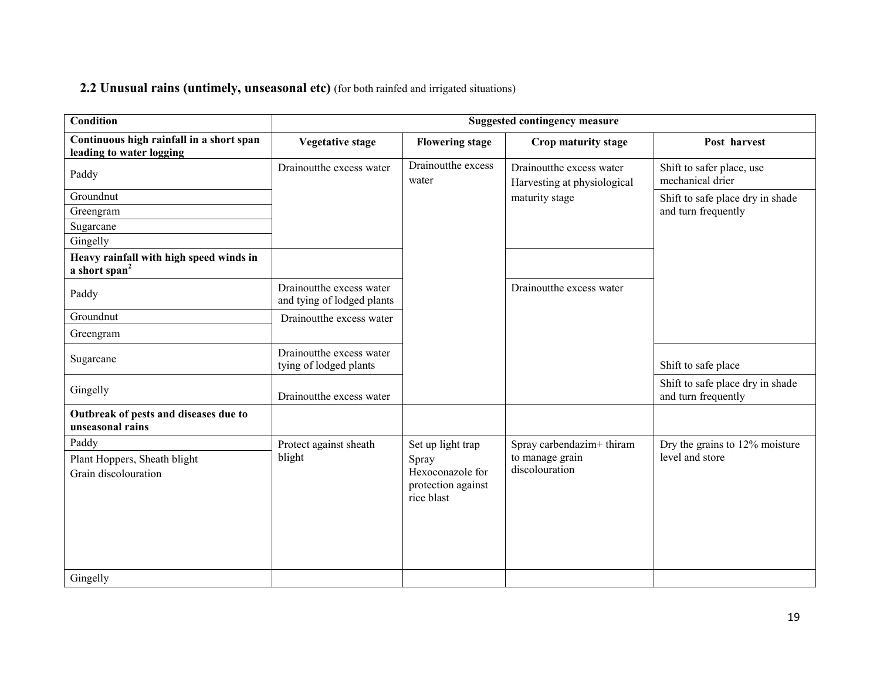# 2.2 Unusual rains (untimely, unseasonal etc) (for both rainfed and irrigated situations)

| <b>Condition</b>                                                     | <b>Suggested contingency measure</b>                   |                                                               |                                                         |                                                         |  |
|----------------------------------------------------------------------|--------------------------------------------------------|---------------------------------------------------------------|---------------------------------------------------------|---------------------------------------------------------|--|
| Continuous high rainfall in a short span<br>leading to water logging | <b>Vegetative stage</b>                                | <b>Flowering stage</b>                                        | Crop maturity stage                                     | Post harvest                                            |  |
| Paddy                                                                | Drainoutthe excess water                               | Drainoutthe excess<br>water                                   | Drainoutthe excess water<br>Harvesting at physiological | Shift to safer place, use<br>mechanical drier           |  |
| Groundnut                                                            |                                                        |                                                               | maturity stage                                          | Shift to safe place dry in shade                        |  |
| Greengram                                                            |                                                        |                                                               |                                                         | and turn frequently                                     |  |
| Sugarcane                                                            |                                                        |                                                               |                                                         |                                                         |  |
| Gingelly                                                             |                                                        |                                                               |                                                         |                                                         |  |
| Heavy rainfall with high speed winds in<br>a short span <sup>2</sup> |                                                        |                                                               |                                                         |                                                         |  |
| Paddy                                                                | Drainoutthe excess water<br>and tying of lodged plants |                                                               | Drainoutthe excess water                                |                                                         |  |
| Groundnut                                                            | Drainoutthe excess water                               |                                                               |                                                         |                                                         |  |
| Greengram                                                            |                                                        |                                                               |                                                         |                                                         |  |
| Sugarcane                                                            | Drainoutthe excess water<br>tying of lodged plants     |                                                               |                                                         | Shift to safe place                                     |  |
| Gingelly                                                             | Drainoutthe excess water                               |                                                               |                                                         | Shift to safe place dry in shade<br>and turn frequently |  |
| Outbreak of pests and diseases due to<br>unseasonal rains            |                                                        |                                                               |                                                         |                                                         |  |
| Paddy                                                                | Protect against sheath                                 | Set up light trap                                             | Spray carbendazim+ thiram                               | Dry the grains to 12% moisture                          |  |
| Plant Hoppers, Sheath blight<br>Grain discolouration                 | blight                                                 | Spray<br>Hexoconazole for<br>protection against<br>rice blast | to manage grain<br>discolouration                       | level and store                                         |  |
| Gingelly                                                             |                                                        |                                                               |                                                         |                                                         |  |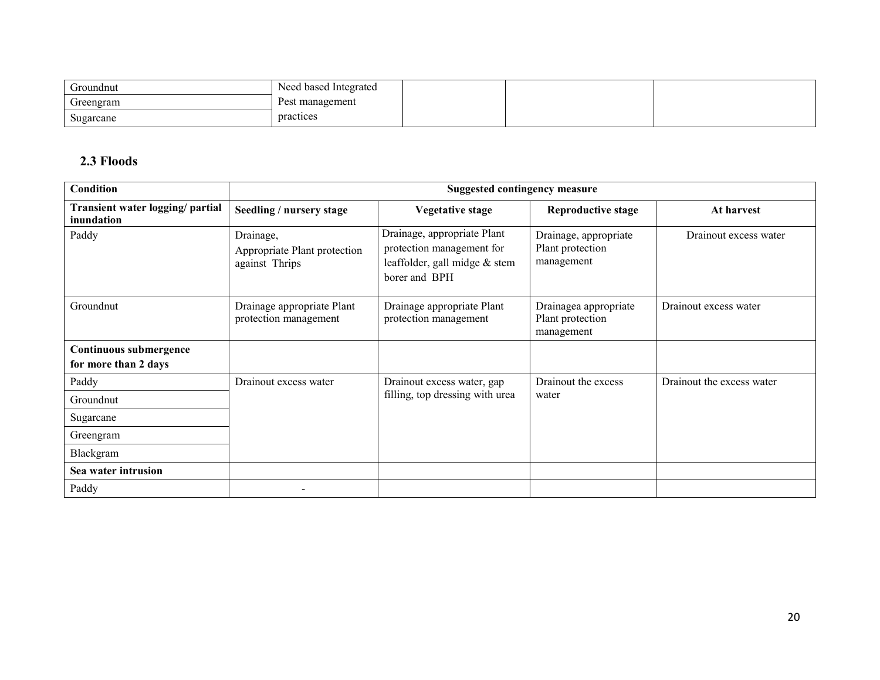| Groundnut | Need based Integrated |  |  |
|-----------|-----------------------|--|--|
| Greengram | Pest management       |  |  |
| Sugarcane | practices             |  |  |

## 2.3 Floods

| Condition                                      |                                                             | <b>Suggested contingency measure</b>                                                                       |                                                         |                           |
|------------------------------------------------|-------------------------------------------------------------|------------------------------------------------------------------------------------------------------------|---------------------------------------------------------|---------------------------|
| Transient water logging/ partial<br>inundation | Seedling / nursery stage                                    | <b>Vegetative stage</b>                                                                                    | <b>Reproductive stage</b>                               | At harvest                |
| Paddy                                          | Drainage,<br>Appropriate Plant protection<br>against Thrips | Drainage, appropriate Plant<br>protection management for<br>leaffolder, gall midge & stem<br>borer and BPH | Drainage, appropriate<br>Plant protection<br>management | Drainout excess water     |
| Groundnut                                      | Drainage appropriate Plant<br>protection management         | Drainage appropriate Plant<br>protection management                                                        | Drainagea appropriate<br>Plant protection<br>management | Drainout excess water     |
| <b>Continuous submergence</b>                  |                                                             |                                                                                                            |                                                         |                           |
| for more than 2 days                           |                                                             |                                                                                                            |                                                         |                           |
| Paddy                                          | Drainout excess water                                       | Drainout excess water, gap                                                                                 | Drainout the excess                                     | Drainout the excess water |
| Groundnut                                      |                                                             | filling, top dressing with urea                                                                            | water                                                   |                           |
| Sugarcane                                      |                                                             |                                                                                                            |                                                         |                           |
| Greengram                                      |                                                             |                                                                                                            |                                                         |                           |
| Blackgram                                      |                                                             |                                                                                                            |                                                         |                           |
| Sea water intrusion                            |                                                             |                                                                                                            |                                                         |                           |
| Paddy                                          |                                                             |                                                                                                            |                                                         |                           |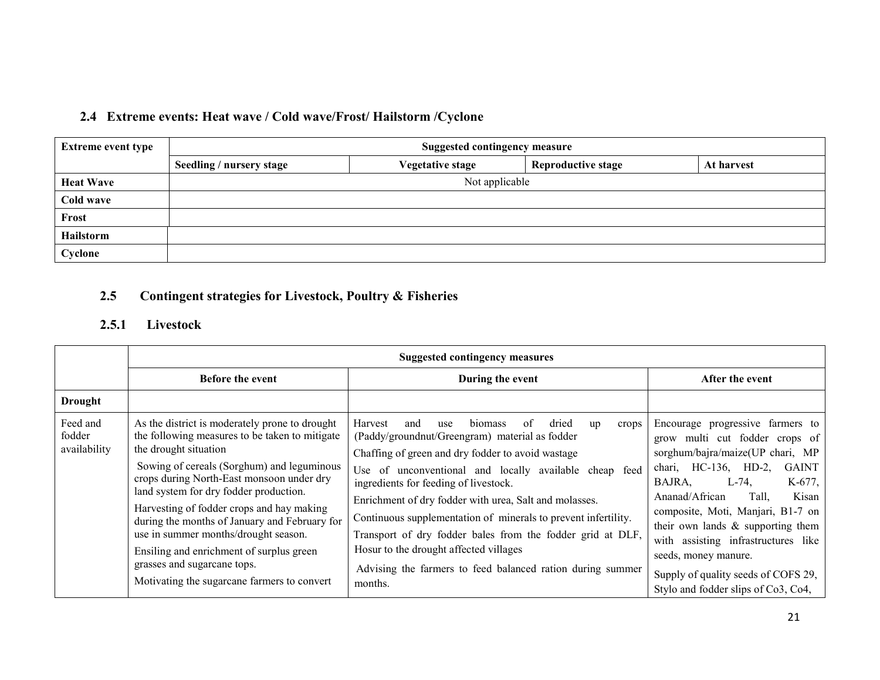# 2.4 Extreme events: Heat wave / Cold wave/Frost/ Hailstorm /Cyclone

| <b>Extreme event type</b> | <b>Suggested contingency measure</b> |                         |                           |            |  |  |  |
|---------------------------|--------------------------------------|-------------------------|---------------------------|------------|--|--|--|
|                           | Seedling / nursery stage             | <b>Vegetative stage</b> | <b>Reproductive stage</b> | At harvest |  |  |  |
| <b>Heat Wave</b>          |                                      | Not applicable          |                           |            |  |  |  |
| Cold wave                 |                                      |                         |                           |            |  |  |  |
| Frost                     |                                      |                         |                           |            |  |  |  |
| Hailstorm                 |                                      |                         |                           |            |  |  |  |
| Cyclone                   |                                      |                         |                           |            |  |  |  |

#### 2.5Contingent strategies for Livestock, Poultry & Fisheries

## 2.5.1 Livestock

|                                    | <b>Suggested contingency measures</b>                                                                                                                                                                                                                                                                                                                                                                                                                                                                                          |                                                                                                                                                                                                                                                                                                                                                                                                                                                                                                                                                                                          |                                                                                                                                                                                                                                                                                                                                                                                                                                              |  |  |
|------------------------------------|--------------------------------------------------------------------------------------------------------------------------------------------------------------------------------------------------------------------------------------------------------------------------------------------------------------------------------------------------------------------------------------------------------------------------------------------------------------------------------------------------------------------------------|------------------------------------------------------------------------------------------------------------------------------------------------------------------------------------------------------------------------------------------------------------------------------------------------------------------------------------------------------------------------------------------------------------------------------------------------------------------------------------------------------------------------------------------------------------------------------------------|----------------------------------------------------------------------------------------------------------------------------------------------------------------------------------------------------------------------------------------------------------------------------------------------------------------------------------------------------------------------------------------------------------------------------------------------|--|--|
|                                    | <b>Before the event</b>                                                                                                                                                                                                                                                                                                                                                                                                                                                                                                        | During the event                                                                                                                                                                                                                                                                                                                                                                                                                                                                                                                                                                         | After the event                                                                                                                                                                                                                                                                                                                                                                                                                              |  |  |
| <b>Drought</b>                     |                                                                                                                                                                                                                                                                                                                                                                                                                                                                                                                                |                                                                                                                                                                                                                                                                                                                                                                                                                                                                                                                                                                                          |                                                                                                                                                                                                                                                                                                                                                                                                                                              |  |  |
| Feed and<br>fodder<br>availability | As the district is moderately prone to drought<br>the following measures to be taken to mitigate<br>the drought situation<br>Sowing of cereals (Sorghum) and leguminous<br>crops during North-East monsoon under dry<br>land system for dry fodder production.<br>Harvesting of fodder crops and hay making<br>during the months of January and February for<br>use in summer months/drought season.<br>Ensiling and enrichment of surplus green<br>grasses and sugarcane tops.<br>Motivating the sugarcane farmers to convert | Harvest<br>biomass<br>0f<br>and<br>use<br>dried<br>crops<br>up<br>(Paddy/groundnut/Greengram) material as fodder<br>Chaffing of green and dry fodder to avoid wastage<br>unconventional and locally available cheap feed<br>Use of<br>ingredients for feeding of livestock.<br>Enrichment of dry fodder with urea, Salt and molasses.<br>Continuous supplementation of minerals to prevent infertility.<br>Transport of dry fodder bales from the fodder grid at DLF,<br>Hosur to the drought affected villages<br>Advising the farmers to feed balanced ration during summer<br>months. | Encourage progressive farmers to<br>grow multi cut fodder crops of<br>sorghum/bajra/maize(UP chari, MP<br>chari, HC-136, HD-2,<br><b>GAINT</b><br>BAJRA,<br>$L-74$ ,<br>K-677,<br>Tall,<br>Kisan<br>Ananad/African<br>composite, Moti, Manjari, B1-7 on<br>their own lands $\&$ supporting them<br>with assisting infrastructures like<br>seeds, money manure.<br>Supply of quality seeds of COFS 29,<br>Stylo and fodder slips of Co3, Co4, |  |  |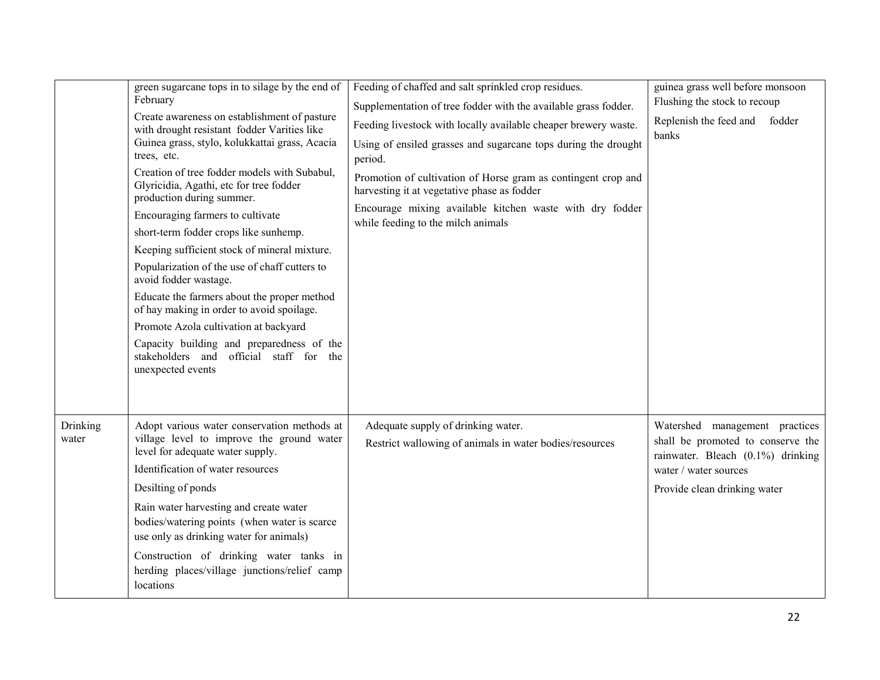|                   | green sugarcane tops in to silage by the end of<br>February<br>Create awareness on establishment of pasture<br>with drought resistant fodder Varities like<br>Guinea grass, stylo, kolukkattai grass, Acacia<br>trees, etc.<br>Creation of tree fodder models with Subabul,<br>Glyricidia, Agathi, etc for tree fodder<br>production during summer.<br>Encouraging farmers to cultivate<br>short-term fodder crops like sunhemp.<br>Keeping sufficient stock of mineral mixture.<br>Popularization of the use of chaff cutters to<br>avoid fodder wastage.<br>Educate the farmers about the proper method<br>of hay making in order to avoid spoilage.<br>Promote Azola cultivation at backyard<br>Capacity building and preparedness of the<br>stakeholders and official staff for<br>the<br>unexpected events | Feeding of chaffed and salt sprinkled crop residues.<br>Supplementation of tree fodder with the available grass fodder.<br>Feeding livestock with locally available cheaper brewery waste.<br>Using of ensiled grasses and sugarcane tops during the drought<br>period.<br>Promotion of cultivation of Horse gram as contingent crop and<br>harvesting it at vegetative phase as fodder<br>Encourage mixing available kitchen waste with dry fodder<br>while feeding to the milch animals | guinea grass well before monsoon<br>Flushing the stock to recoup<br>Replenish the feed and fodder<br>banks                                                        |
|-------------------|-----------------------------------------------------------------------------------------------------------------------------------------------------------------------------------------------------------------------------------------------------------------------------------------------------------------------------------------------------------------------------------------------------------------------------------------------------------------------------------------------------------------------------------------------------------------------------------------------------------------------------------------------------------------------------------------------------------------------------------------------------------------------------------------------------------------|-------------------------------------------------------------------------------------------------------------------------------------------------------------------------------------------------------------------------------------------------------------------------------------------------------------------------------------------------------------------------------------------------------------------------------------------------------------------------------------------|-------------------------------------------------------------------------------------------------------------------------------------------------------------------|
| Drinking<br>water | Adopt various water conservation methods at<br>village level to improve the ground water<br>level for adequate water supply.<br>Identification of water resources<br>Desilting of ponds<br>Rain water harvesting and create water<br>bodies/watering points (when water is scarce<br>use only as drinking water for animals)<br>Construction of drinking water tanks in<br>herding places/village junctions/relief camp<br>locations                                                                                                                                                                                                                                                                                                                                                                            | Adequate supply of drinking water.<br>Restrict wallowing of animals in water bodies/resources                                                                                                                                                                                                                                                                                                                                                                                             | Watershed management practices<br>shall be promoted to conserve the<br>rainwater. Bleach (0.1%) drinking<br>water / water sources<br>Provide clean drinking water |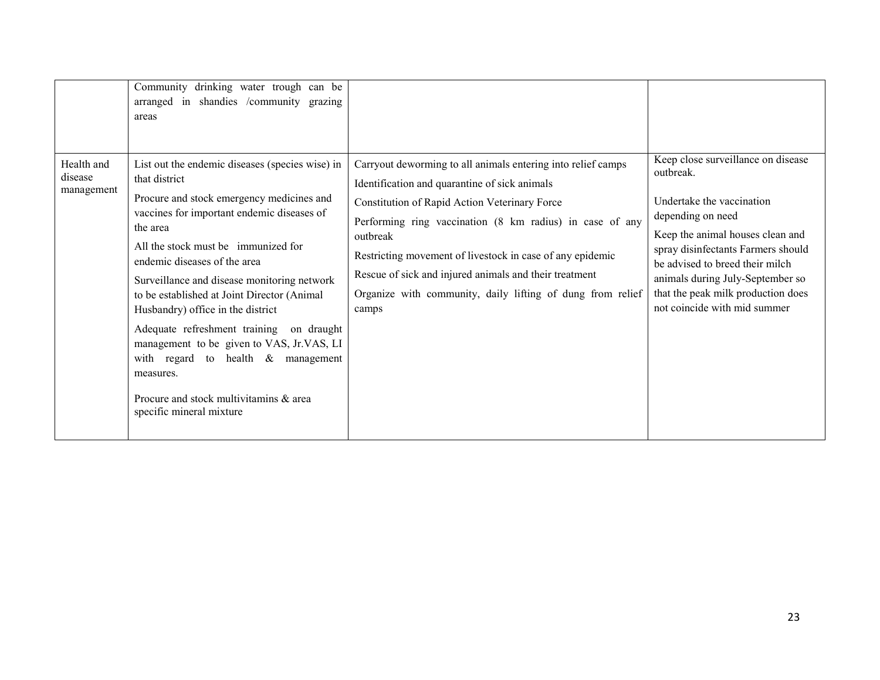|                                     | Community drinking water trough can be<br>arranged in shandies /community grazing<br>areas                                                                                                                                                                                                                                                                                                                                                                                                                                                                                                                |                                                                                                                                                                                                                                                                                                                                                                                                                                      |                                                                                                                                                                                                                                                                                                                          |
|-------------------------------------|-----------------------------------------------------------------------------------------------------------------------------------------------------------------------------------------------------------------------------------------------------------------------------------------------------------------------------------------------------------------------------------------------------------------------------------------------------------------------------------------------------------------------------------------------------------------------------------------------------------|--------------------------------------------------------------------------------------------------------------------------------------------------------------------------------------------------------------------------------------------------------------------------------------------------------------------------------------------------------------------------------------------------------------------------------------|--------------------------------------------------------------------------------------------------------------------------------------------------------------------------------------------------------------------------------------------------------------------------------------------------------------------------|
| Health and<br>disease<br>management | List out the endemic diseases (species wise) in<br>that district<br>Procure and stock emergency medicines and<br>vaccines for important endemic diseases of<br>the area<br>All the stock must be immunized for<br>endemic diseases of the area<br>Surveillance and disease monitoring network<br>to be established at Joint Director (Animal<br>Husbandry) office in the district<br>Adequate refreshment training on draught<br>management to be given to VAS, Jr.VAS, LI<br>with regard to health $\&$<br>management<br>measures.<br>Procure and stock multivitamins & area<br>specific mineral mixture | Carryout deworming to all animals entering into relief camps<br>Identification and quarantine of sick animals<br>Constitution of Rapid Action Veterinary Force<br>Performing ring vaccination (8 km radius) in case of any<br>outbreak<br>Restricting movement of livestock in case of any epidemic<br>Rescue of sick and injured animals and their treatment<br>Organize with community, daily lifting of dung from relief<br>camps | Keep close surveillance on disease<br>outbreak.<br>Undertake the vaccination<br>depending on need<br>Keep the animal houses clean and<br>spray disinfectants Farmers should<br>be advised to breed their milch<br>animals during July-September so<br>that the peak milk production does<br>not coincide with mid summer |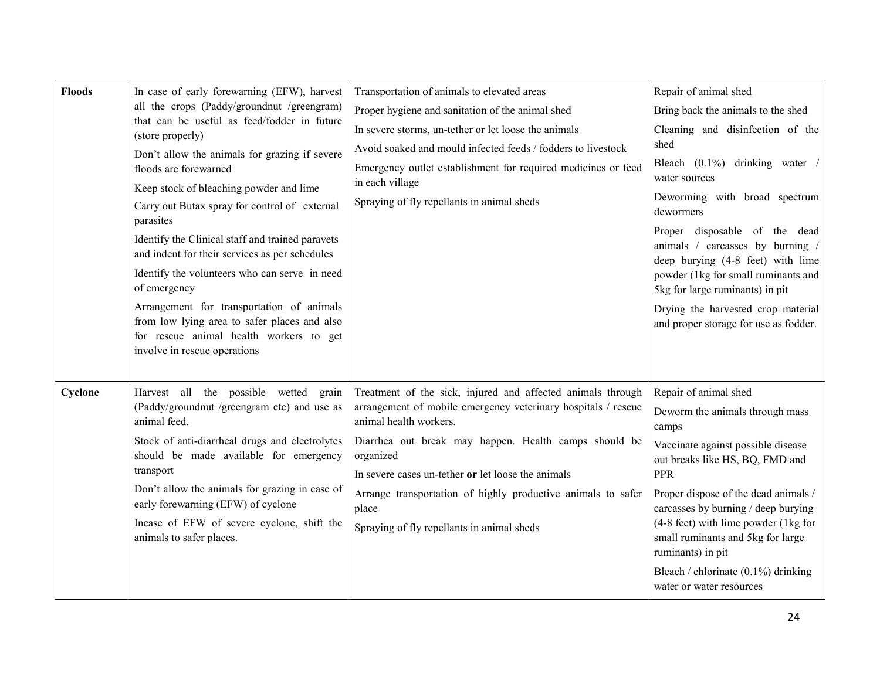| <b>Floods</b> | In case of early forewarning (EFW), harvest<br>all the crops (Paddy/groundnut /greengram)<br>that can be useful as feed/fodder in future<br>(store properly)<br>Don't allow the animals for grazing if severe<br>floods are forewarned<br>Keep stock of bleaching powder and lime<br>Carry out Butax spray for control of external<br>parasites<br>Identify the Clinical staff and trained paravets<br>and indent for their services as per schedules<br>Identify the volunteers who can serve in need<br>of emergency<br>Arrangement for transportation of animals<br>from low lying area to safer places and also<br>for rescue animal health workers to get<br>involve in rescue operations | Transportation of animals to elevated areas<br>Proper hygiene and sanitation of the animal shed<br>In severe storms, un-tether or let loose the animals<br>Avoid soaked and mould infected feeds / fodders to livestock<br>Emergency outlet establishment for required medicines or feed<br>in each village<br>Spraying of fly repellants in animal sheds                                                 | Repair of animal shed<br>Bring back the animals to the shed<br>Cleaning and disinfection of the<br>shed<br>Bleach $(0.1\%)$ drinking water<br>water sources<br>Deworming with broad spectrum<br>dewormers<br>Proper disposable of the dead<br>animals / carcasses by burning /<br>deep burying (4-8 feet) with lime<br>powder (1kg for small ruminants and<br>5kg for large ruminants) in pit<br>Drying the harvested crop material<br>and proper storage for use as fodder. |
|---------------|------------------------------------------------------------------------------------------------------------------------------------------------------------------------------------------------------------------------------------------------------------------------------------------------------------------------------------------------------------------------------------------------------------------------------------------------------------------------------------------------------------------------------------------------------------------------------------------------------------------------------------------------------------------------------------------------|-----------------------------------------------------------------------------------------------------------------------------------------------------------------------------------------------------------------------------------------------------------------------------------------------------------------------------------------------------------------------------------------------------------|------------------------------------------------------------------------------------------------------------------------------------------------------------------------------------------------------------------------------------------------------------------------------------------------------------------------------------------------------------------------------------------------------------------------------------------------------------------------------|
| Cyclone       | Harvest all the possible wetted grain<br>(Paddy/groundnut /greengram etc) and use as<br>animal feed.<br>Stock of anti-diarrheal drugs and electrolytes<br>should be made available for emergency<br>transport<br>Don't allow the animals for grazing in case of<br>early forewarning (EFW) of cyclone<br>Incase of EFW of severe cyclone, shift the<br>animals to safer places.                                                                                                                                                                                                                                                                                                                | Treatment of the sick, injured and affected animals through<br>arrangement of mobile emergency veterinary hospitals / rescue<br>animal health workers.<br>Diarrhea out break may happen. Health camps should be<br>organized<br>In severe cases un-tether or let loose the animals<br>Arrange transportation of highly productive animals to safer<br>place<br>Spraying of fly repellants in animal sheds | Repair of animal shed<br>Deworm the animals through mass<br>camps<br>Vaccinate against possible disease<br>out breaks like HS, BQ, FMD and<br><b>PPR</b><br>Proper dispose of the dead animals /<br>carcasses by burning / deep burying<br>$(4-8$ feet) with lime powder $(1 \text{kg}$ for<br>small ruminants and 5kg for large<br>ruminants) in pit<br>Bleach / chlorinate $(0.1\%)$ drinking<br>water or water resources                                                  |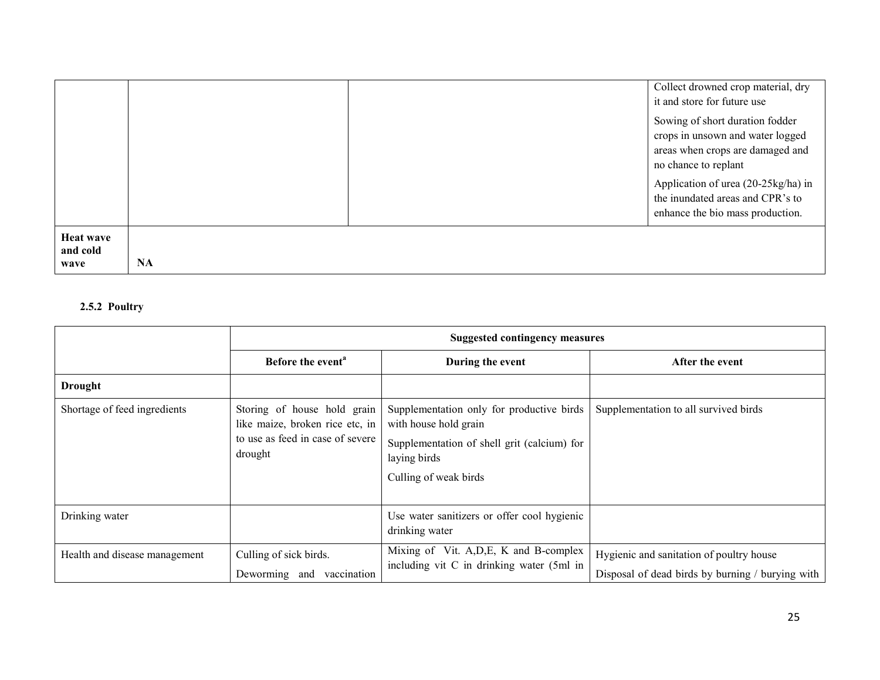|                                      |           | Collect drowned crop material, dry<br>it and store for future use                                                               |
|--------------------------------------|-----------|---------------------------------------------------------------------------------------------------------------------------------|
|                                      |           | Sowing of short duration fodder<br>crops in unsown and water logged<br>areas when crops are damaged and<br>no chance to replant |
|                                      |           | Application of urea (20-25kg/ha) in<br>the inundated areas and CPR's to<br>enhance the bio mass production.                     |
| <b>Heat wave</b><br>and cold<br>wave | <b>NA</b> |                                                                                                                                 |

## 2.5.2 Poultry

|                               | <b>Suggested contingency measures</b>                                                                         |                                                                                                                                                            |                                                                                              |
|-------------------------------|---------------------------------------------------------------------------------------------------------------|------------------------------------------------------------------------------------------------------------------------------------------------------------|----------------------------------------------------------------------------------------------|
|                               | Before the event <sup>a</sup>                                                                                 | During the event                                                                                                                                           | After the event                                                                              |
| <b>Drought</b>                |                                                                                                               |                                                                                                                                                            |                                                                                              |
| Shortage of feed ingredients  | Storing of house hold grain<br>like maize, broken rice etc, in<br>to use as feed in case of severe<br>drought | Supplementation only for productive birds<br>with house hold grain<br>Supplementation of shell grit (calcium) for<br>laying birds<br>Culling of weak birds | Supplementation to all survived birds                                                        |
| Drinking water                |                                                                                                               | Use water sanitizers or offer cool hygienic<br>drinking water                                                                                              |                                                                                              |
| Health and disease management | Culling of sick birds.<br>Deworming and<br>vaccination                                                        | Mixing of Vit. A, D, E, K and B-complex<br>including vit C in drinking water (5ml in                                                                       | Hygienic and sanitation of poultry house<br>Disposal of dead birds by burning / burying with |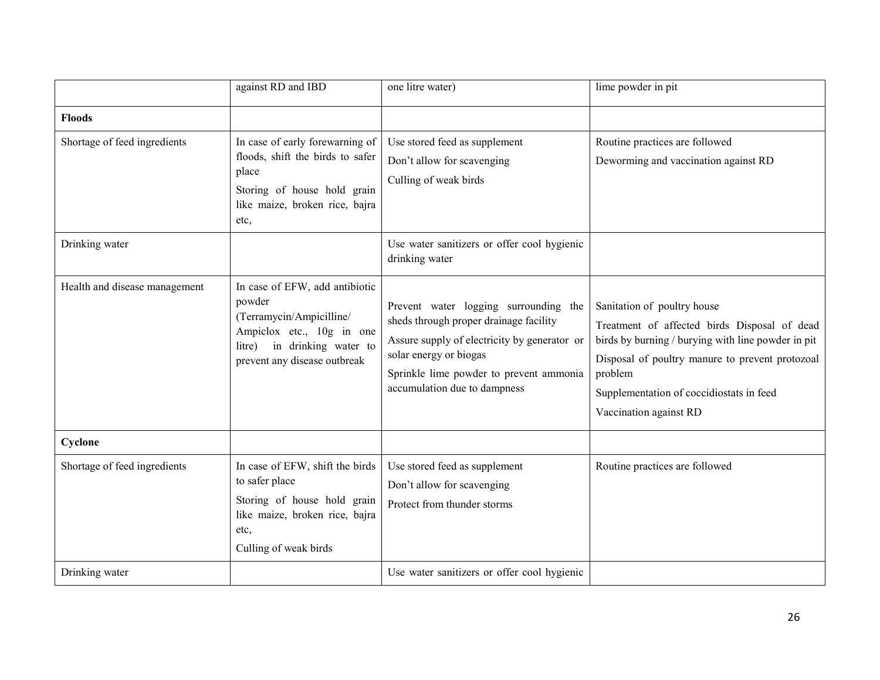|                               | against RD and IBD                                                                                                                                                  | one litre water)                                                                                                                                                                                                                     | lime powder in pit                                                                                                                                                                                                                                                    |
|-------------------------------|---------------------------------------------------------------------------------------------------------------------------------------------------------------------|--------------------------------------------------------------------------------------------------------------------------------------------------------------------------------------------------------------------------------------|-----------------------------------------------------------------------------------------------------------------------------------------------------------------------------------------------------------------------------------------------------------------------|
| <b>Floods</b>                 |                                                                                                                                                                     |                                                                                                                                                                                                                                      |                                                                                                                                                                                                                                                                       |
| Shortage of feed ingredients  | In case of early forewarning of<br>floods, shift the birds to safer<br>place<br>Storing of house hold grain<br>like maize, broken rice, bajra<br>etc,               | Use stored feed as supplement<br>Don't allow for scavenging<br>Culling of weak birds                                                                                                                                                 | Routine practices are followed<br>Deworming and vaccination against RD                                                                                                                                                                                                |
| Drinking water                |                                                                                                                                                                     | Use water sanitizers or offer cool hygienic<br>drinking water                                                                                                                                                                        |                                                                                                                                                                                                                                                                       |
| Health and disease management | In case of EFW, add antibiotic<br>powder<br>(Terramycin/Ampicilline/<br>Ampiclox etc., 10g in one<br>in drinking water to<br>litre)<br>prevent any disease outbreak | Prevent water logging surrounding the<br>sheds through proper drainage facility<br>Assure supply of electricity by generator or<br>solar energy or biogas<br>Sprinkle lime powder to prevent ammonia<br>accumulation due to dampness | Sanitation of poultry house<br>Treatment of affected birds Disposal of dead<br>birds by burning / burying with line powder in pit<br>Disposal of poultry manure to prevent protozoal<br>problem<br>Supplementation of coccidiostats in feed<br>Vaccination against RD |
| Cyclone                       |                                                                                                                                                                     |                                                                                                                                                                                                                                      |                                                                                                                                                                                                                                                                       |
| Shortage of feed ingredients  | In case of EFW, shift the birds<br>to safer place<br>Storing of house hold grain<br>like maize, broken rice, bajra<br>etc.<br>Culling of weak birds                 | Use stored feed as supplement<br>Don't allow for scavenging<br>Protect from thunder storms                                                                                                                                           | Routine practices are followed                                                                                                                                                                                                                                        |
| Drinking water                |                                                                                                                                                                     | Use water sanitizers or offer cool hygienic                                                                                                                                                                                          |                                                                                                                                                                                                                                                                       |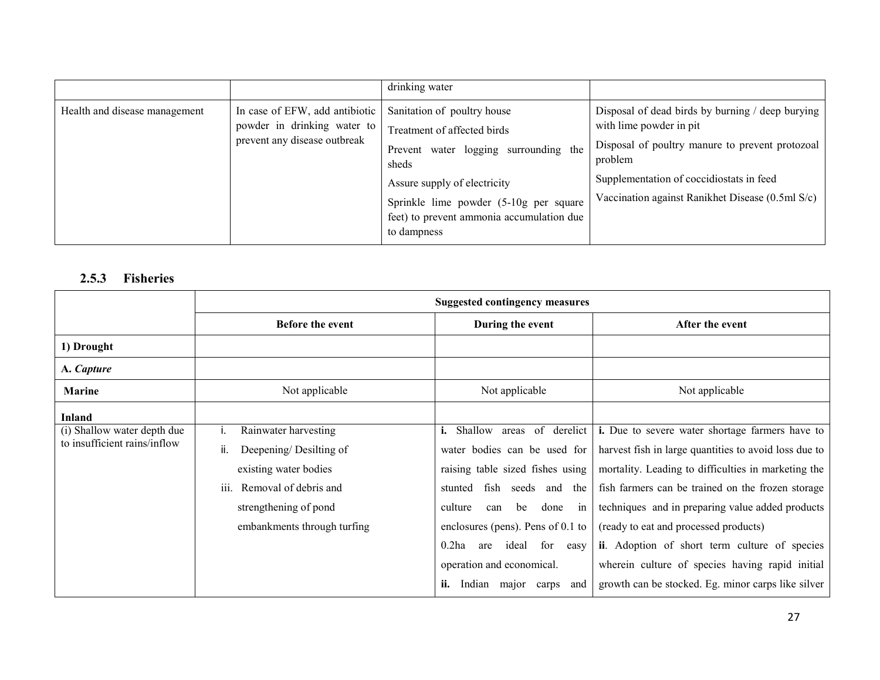|                               |                                                                                               | drinking water                                                                                                                                                                                                                                        |                                                                                                                                                                                                                                           |
|-------------------------------|-----------------------------------------------------------------------------------------------|-------------------------------------------------------------------------------------------------------------------------------------------------------------------------------------------------------------------------------------------------------|-------------------------------------------------------------------------------------------------------------------------------------------------------------------------------------------------------------------------------------------|
| Health and disease management | In case of EFW, add antibiotic<br>powder in drinking water to<br>prevent any disease outbreak | Sanitation of poultry house<br>Treatment of affected birds<br>water logging surrounding the<br>Prevent<br>sheds<br>Assure supply of electricity<br>Sprinkle lime powder (5-10g per square<br>feet) to prevent ammonia accumulation due<br>to dampness | Disposal of dead birds by burning / deep burying<br>with lime powder in pit<br>Disposal of poultry manure to prevent protozoal<br>problem<br>Supplementation of coccidiostats in feed<br>Vaccination against Ranikhet Disease (0.5ml S/c) |

## 2.5.3 Fisheries

|                              | <b>Suggested contingency measures</b>                |                                         |                                                       |
|------------------------------|------------------------------------------------------|-----------------------------------------|-------------------------------------------------------|
|                              | <b>Before the event</b>                              | During the event                        | After the event                                       |
| 1) Drought                   |                                                      |                                         |                                                       |
| A. Capture                   |                                                      |                                         |                                                       |
| <b>Marine</b>                | Not applicable                                       | Not applicable                          | Not applicable                                        |
| <b>Inland</b>                |                                                      |                                         |                                                       |
| (i) Shallow water depth due  | Rainwater harvesting                                 | of derelict<br>i.<br>Shallow areas      | i. Due to severe water shortage farmers have to       |
| to insufficient rains/inflow | Deepening/Desilting of<br>ii.                        | water bodies can be used for            | harvest fish in large quantities to avoid loss due to |
|                              | existing water bodies                                | raising table sized fishes using        | mortality. Leading to difficulties in marketing the   |
|                              | Removal of debris and<br>111.                        | fish<br>stunted<br>seeds and<br>the     | fish farmers can be trained on the frozen storage     |
|                              | strengthening of pond<br>embankments through turfing | culture<br>be<br>done<br>can<br>in      | techniques and in preparing value added products      |
|                              |                                                      | enclosures (pens). Pens of $0.1$ to     | (ready to eat and processed products)                 |
|                              |                                                      | $0.2$ ha<br>ideal<br>for<br>are<br>easy | ii. Adoption of short term culture of species         |
|                              |                                                      | operation and economical.               | wherein culture of species having rapid initial       |
|                              |                                                      | ii.<br>Indian<br>and<br>major<br>carps  | growth can be stocked. Eg. minor carps like silver    |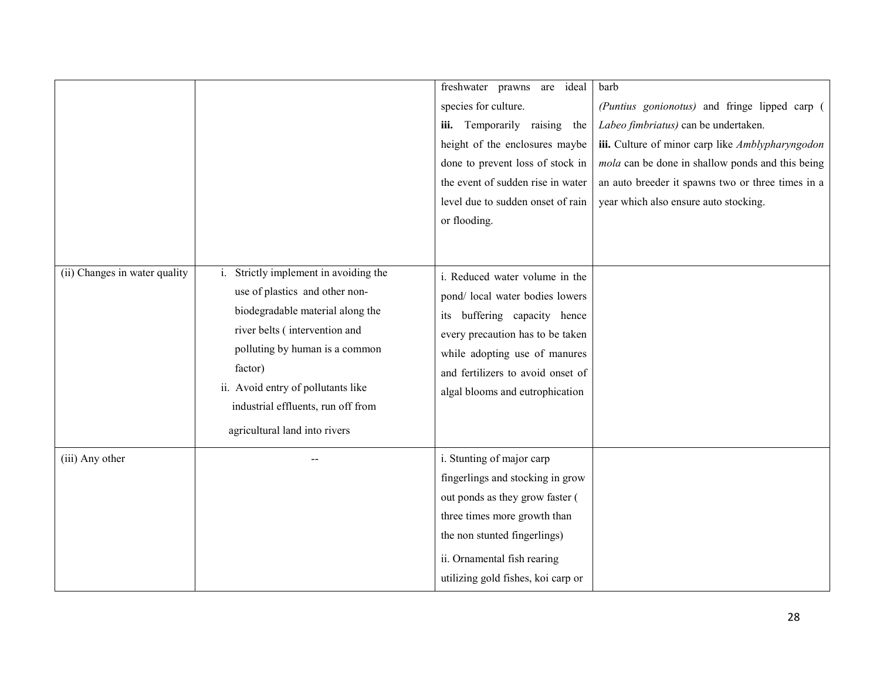|                               |                                                                                                                                                                                                                                                                                                     | freshwater prawns<br>ideal<br>are                                                                                                                                                                                                                 | barb                                              |
|-------------------------------|-----------------------------------------------------------------------------------------------------------------------------------------------------------------------------------------------------------------------------------------------------------------------------------------------------|---------------------------------------------------------------------------------------------------------------------------------------------------------------------------------------------------------------------------------------------------|---------------------------------------------------|
|                               |                                                                                                                                                                                                                                                                                                     | species for culture.                                                                                                                                                                                                                              | (Puntius gonionotus) and fringe lipped carp (     |
|                               |                                                                                                                                                                                                                                                                                                     | iii. Temporarily raising the                                                                                                                                                                                                                      | Labeo fimbriatus) can be undertaken.              |
|                               |                                                                                                                                                                                                                                                                                                     | height of the enclosures maybe                                                                                                                                                                                                                    | iii. Culture of minor carp like Amblypharyngodon  |
|                               |                                                                                                                                                                                                                                                                                                     | done to prevent loss of stock in                                                                                                                                                                                                                  | mola can be done in shallow ponds and this being  |
|                               |                                                                                                                                                                                                                                                                                                     | the event of sudden rise in water                                                                                                                                                                                                                 | an auto breeder it spawns two or three times in a |
|                               |                                                                                                                                                                                                                                                                                                     | level due to sudden onset of rain                                                                                                                                                                                                                 | year which also ensure auto stocking.             |
|                               |                                                                                                                                                                                                                                                                                                     | or flooding.                                                                                                                                                                                                                                      |                                                   |
|                               |                                                                                                                                                                                                                                                                                                     |                                                                                                                                                                                                                                                   |                                                   |
|                               |                                                                                                                                                                                                                                                                                                     |                                                                                                                                                                                                                                                   |                                                   |
| (ii) Changes in water quality | Strictly implement in avoiding the<br>use of plastics and other non-<br>biodegradable material along the<br>river belts (intervention and<br>polluting by human is a common<br>factor)<br>ii. Avoid entry of pollutants like<br>industrial effluents, run off from<br>agricultural land into rivers | i. Reduced water volume in the<br>pond/ local water bodies lowers<br>buffering capacity hence<br>its<br>every precaution has to be taken<br>while adopting use of manures<br>and fertilizers to avoid onset of<br>algal blooms and eutrophication |                                                   |
| (iii) Any other               |                                                                                                                                                                                                                                                                                                     | i. Stunting of major carp<br>fingerlings and stocking in grow<br>out ponds as they grow faster (<br>three times more growth than<br>the non stunted fingerlings)<br>ii. Ornamental fish rearing<br>utilizing gold fishes, koi carp or             |                                                   |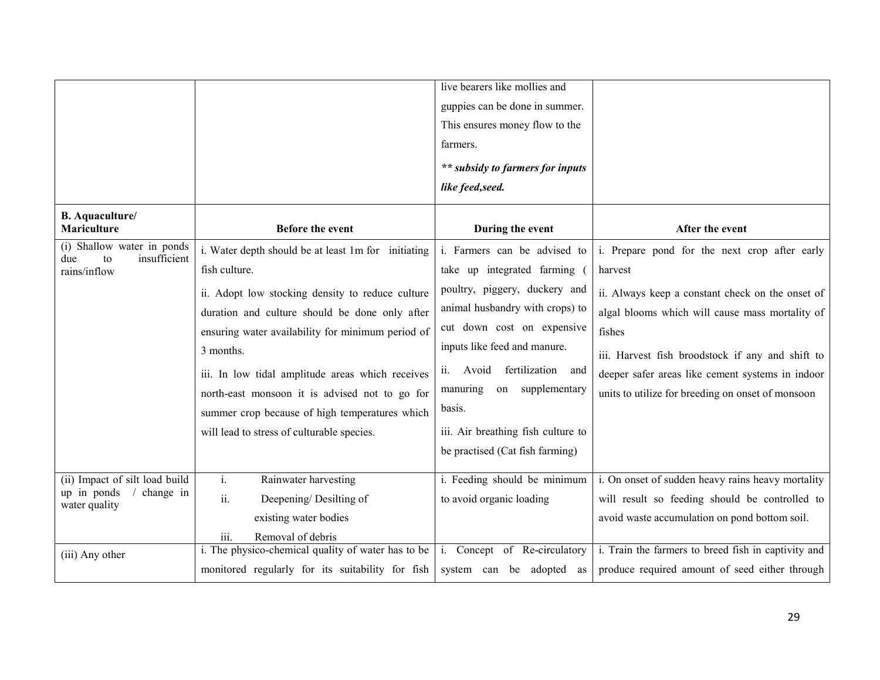|                                                                             |                                                                                                                                                                                                                                                                                                                                                                                                                                                    | live bearers like mollies and<br>guppies can be done in summer.<br>This ensures money flow to the<br>farmers.<br>** subsidy to farmers for inputs<br>like feed, seed.                                                                                                                                                                               |                                                                                                                                                                                                                                                                                                                                        |
|-----------------------------------------------------------------------------|----------------------------------------------------------------------------------------------------------------------------------------------------------------------------------------------------------------------------------------------------------------------------------------------------------------------------------------------------------------------------------------------------------------------------------------------------|-----------------------------------------------------------------------------------------------------------------------------------------------------------------------------------------------------------------------------------------------------------------------------------------------------------------------------------------------------|----------------------------------------------------------------------------------------------------------------------------------------------------------------------------------------------------------------------------------------------------------------------------------------------------------------------------------------|
| <b>B.</b> Aquaculture/<br>Mariculture                                       | <b>Before the event</b>                                                                                                                                                                                                                                                                                                                                                                                                                            | During the event                                                                                                                                                                                                                                                                                                                                    | After the event                                                                                                                                                                                                                                                                                                                        |
| (i) Shallow water in ponds<br>insufficient<br>due<br>to<br>rains/inflow     | i. Water depth should be at least 1m for initiating<br>fish culture.<br>ii. Adopt low stocking density to reduce culture<br>duration and culture should be done only after<br>ensuring water availability for minimum period of<br>3 months.<br>iii. In low tidal amplitude areas which receives<br>north-east monsoon it is advised not to go for<br>summer crop because of high temperatures which<br>will lead to stress of culturable species. | i. Farmers can be advised to<br>take up integrated farming (<br>poultry, piggery, duckery and<br>animal husbandry with crops) to<br>cut down cost on expensive<br>inputs like feed and manure.<br>Avoid fertilization and<br>ii.<br>manuring<br>on supplementary<br>basis.<br>iii. Air breathing fish culture to<br>be practised (Cat fish farming) | i. Prepare pond for the next crop after early<br>harvest<br>ii. Always keep a constant check on the onset of<br>algal blooms which will cause mass mortality of<br>fishes<br>iii. Harvest fish broodstock if any and shift to<br>deeper safer areas like cement systems in indoor<br>units to utilize for breeding on onset of monsoon |
| (ii) Impact of silt load build<br>up in ponds<br>change in<br>water quality | $i$ .<br>Rainwater harvesting<br>ii.<br>Deepening/Desilting of<br>existing water bodies<br>iii.<br>Removal of debris                                                                                                                                                                                                                                                                                                                               | i. Feeding should be minimum<br>to avoid organic loading                                                                                                                                                                                                                                                                                            | i. On onset of sudden heavy rains heavy mortality<br>will result so feeding should be controlled to<br>avoid waste accumulation on pond bottom soil.                                                                                                                                                                                   |
| (iii) Any other                                                             | i. The physico-chemical quality of water has to be<br>monitored regularly for its suitability for fish                                                                                                                                                                                                                                                                                                                                             | i. Concept of Re-circulatory<br>system can be adopted as                                                                                                                                                                                                                                                                                            | i. Train the farmers to breed fish in captivity and<br>produce required amount of seed either through                                                                                                                                                                                                                                  |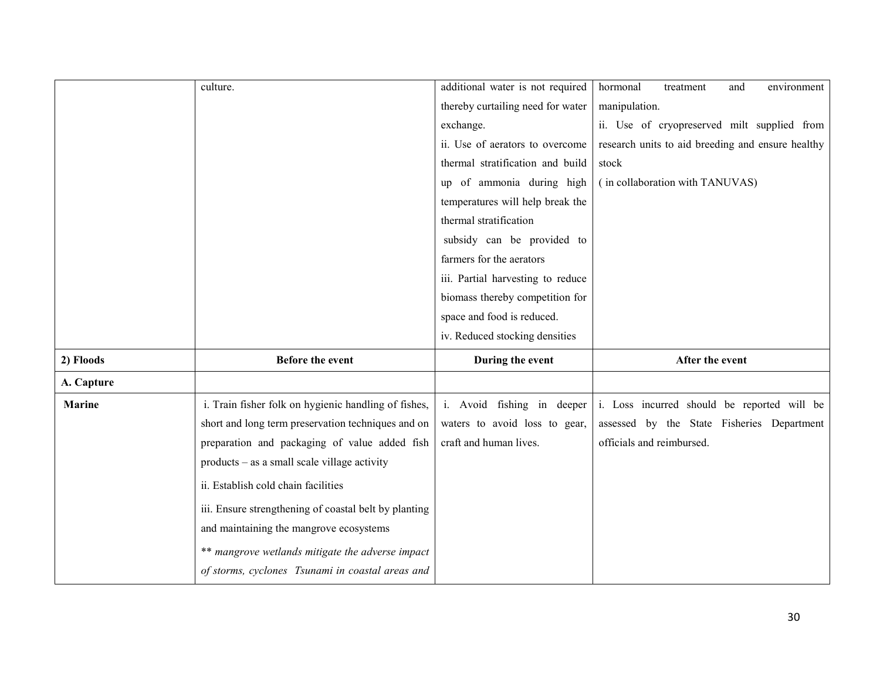|               | culture.                                              | additional water is not required  | hormonal<br>environment<br>treatment<br>and       |
|---------------|-------------------------------------------------------|-----------------------------------|---------------------------------------------------|
|               |                                                       | thereby curtailing need for water | manipulation.                                     |
|               |                                                       | exchange.                         | ii. Use of cryopreserved milt supplied from       |
|               |                                                       | ii. Use of aerators to overcome   | research units to aid breeding and ensure healthy |
|               |                                                       | thermal stratification and build  | stock                                             |
|               |                                                       | up of ammonia during high         | (in collaboration with TANUVAS)                   |
|               |                                                       | temperatures will help break the  |                                                   |
|               |                                                       | thermal stratification            |                                                   |
|               |                                                       | subsidy can be provided to        |                                                   |
|               |                                                       | farmers for the aerators          |                                                   |
|               |                                                       | iii. Partial harvesting to reduce |                                                   |
|               |                                                       | biomass thereby competition for   |                                                   |
|               |                                                       | space and food is reduced.        |                                                   |
|               |                                                       |                                   |                                                   |
|               |                                                       | iv. Reduced stocking densities    |                                                   |
| 2) Floods     | <b>Before the event</b>                               | During the event                  | After the event                                   |
| A. Capture    |                                                       |                                   |                                                   |
| <b>Marine</b> | i. Train fisher folk on hygienic handling of fishes,  | i. Avoid fishing in deeper        | i. Loss incurred should be reported will be       |
|               | short and long term preservation techniques and on    | waters to avoid loss to gear,     | assessed by the State Fisheries Department        |
|               | preparation and packaging of value added fish         | craft and human lives.            | officials and reimbursed.                         |
|               | products – as a small scale village activity          |                                   |                                                   |
|               | ii. Establish cold chain facilities                   |                                   |                                                   |
|               | iii. Ensure strengthening of coastal belt by planting |                                   |                                                   |
|               | and maintaining the mangrove ecosystems               |                                   |                                                   |
|               | ** mangrove wetlands mitigate the adverse impact      |                                   |                                                   |
|               | of storms, cyclones Tsunami in coastal areas and      |                                   |                                                   |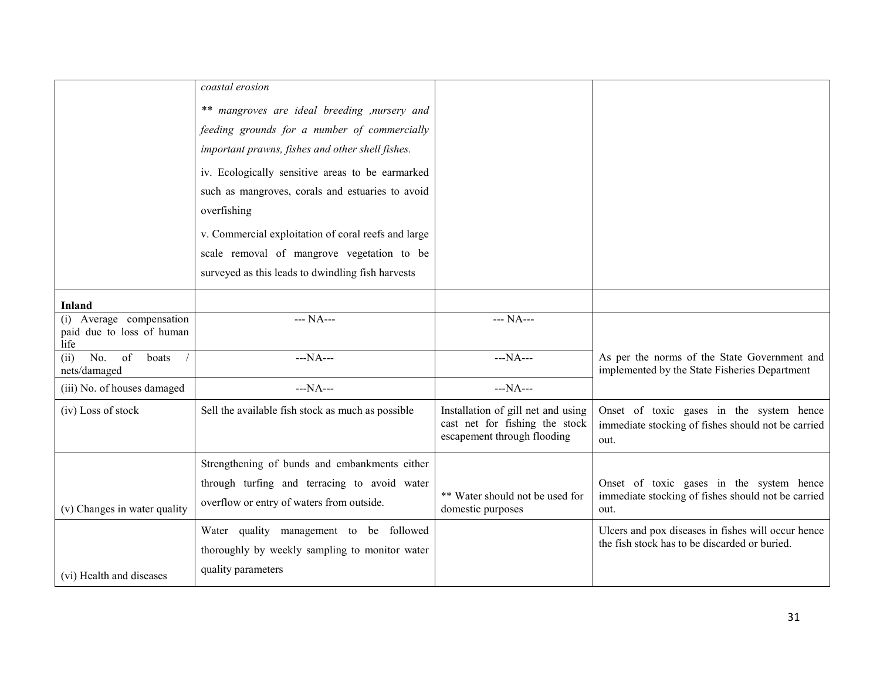|                                                               | coastal erosion                                     |                                                                                                     |                                                                                                        |
|---------------------------------------------------------------|-----------------------------------------------------|-----------------------------------------------------------------------------------------------------|--------------------------------------------------------------------------------------------------------|
|                                                               | ** mangroves are ideal breeding , nursery and       |                                                                                                     |                                                                                                        |
|                                                               | feeding grounds for a number of commercially        |                                                                                                     |                                                                                                        |
|                                                               | important prawns, fishes and other shell fishes.    |                                                                                                     |                                                                                                        |
|                                                               | iv. Ecologically sensitive areas to be earmarked    |                                                                                                     |                                                                                                        |
|                                                               | such as mangroves, corals and estuaries to avoid    |                                                                                                     |                                                                                                        |
|                                                               | overfishing                                         |                                                                                                     |                                                                                                        |
|                                                               | v. Commercial exploitation of coral reefs and large |                                                                                                     |                                                                                                        |
|                                                               | scale removal of mangrove vegetation to be          |                                                                                                     |                                                                                                        |
|                                                               | surveyed as this leads to dwindling fish harvests   |                                                                                                     |                                                                                                        |
| Inland                                                        |                                                     |                                                                                                     |                                                                                                        |
| (i) Average compensation<br>paid due to loss of human<br>life | --- NA---                                           | $\frac{1}{1}$ NA---                                                                                 |                                                                                                        |
| No.<br>of<br>boats<br>(ii)<br>nets/damaged                    | $-NA$ ---                                           | $--NA--$                                                                                            | As per the norms of the State Government and<br>implemented by the State Fisheries Department          |
| (iii) No. of houses damaged                                   | $--NA--$                                            | $--NA--$                                                                                            |                                                                                                        |
| (iv) Loss of stock                                            | Sell the available fish stock as much as possible   | Installation of gill net and using<br>cast net for fishing the stock<br>escapement through flooding | Onset of toxic gases in the system hence<br>immediate stocking of fishes should not be carried<br>out. |
|                                                               | Strengthening of bunds and embankments either       |                                                                                                     |                                                                                                        |
|                                                               | through turfing and terracing to avoid water        |                                                                                                     | Onset of toxic gases in the system hence                                                               |
| (v) Changes in water quality                                  | overflow or entry of waters from outside.           | ** Water should not be used for<br>domestic purposes                                                | immediate stocking of fishes should not be carried<br>out.                                             |
|                                                               | Water quality management to be followed             |                                                                                                     | Ulcers and pox diseases in fishes will occur hence                                                     |
|                                                               | thoroughly by weekly sampling to monitor water      |                                                                                                     | the fish stock has to be discarded or buried.                                                          |
| (vi) Health and diseases                                      | quality parameters                                  |                                                                                                     |                                                                                                        |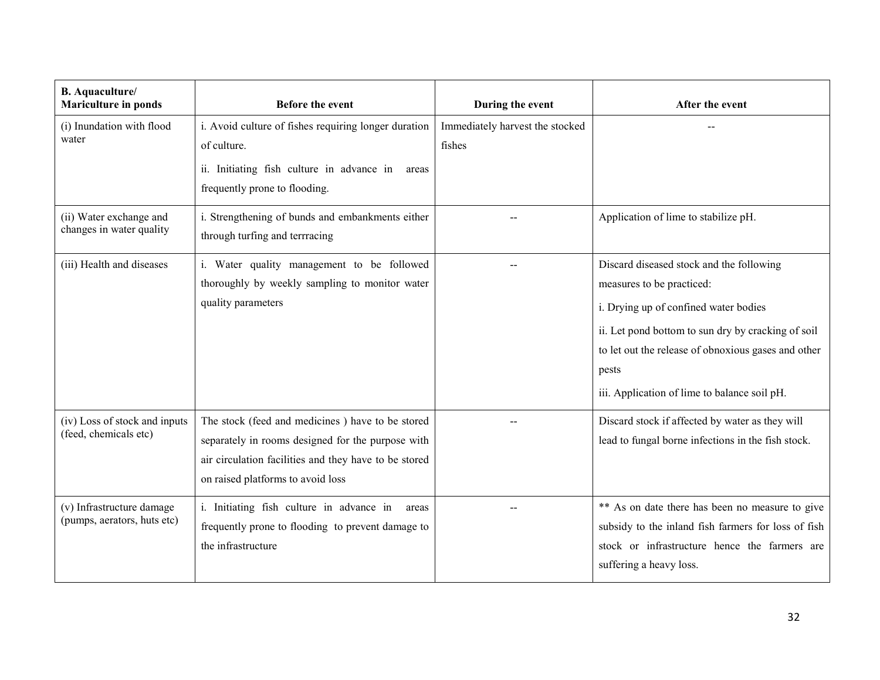| <b>B.</b> Aquaculture/<br><b>Mariculture in ponds</b>    | <b>Before the event</b>                                                                                                                                                                             | During the event                          | After the event                                                                                                                                                                                                                                                                      |
|----------------------------------------------------------|-----------------------------------------------------------------------------------------------------------------------------------------------------------------------------------------------------|-------------------------------------------|--------------------------------------------------------------------------------------------------------------------------------------------------------------------------------------------------------------------------------------------------------------------------------------|
| (i) Inundation with flood<br>water                       | i. Avoid culture of fishes requiring longer duration<br>of culture.<br>ii. Initiating fish culture in advance in areas<br>frequently prone to flooding.                                             | Immediately harvest the stocked<br>fishes |                                                                                                                                                                                                                                                                                      |
| (ii) Water exchange and<br>changes in water quality      | i. Strengthening of bunds and embankments either<br>through turfing and terrracing                                                                                                                  |                                           | Application of lime to stabilize pH.                                                                                                                                                                                                                                                 |
| (iii) Health and diseases                                | i. Water quality management to be followed<br>thoroughly by weekly sampling to monitor water<br>quality parameters                                                                                  |                                           | Discard diseased stock and the following<br>measures to be practiced:<br>i. Drying up of confined water bodies<br>ii. Let pond bottom to sun dry by cracking of soil<br>to let out the release of obnoxious gases and other<br>pests<br>iii. Application of lime to balance soil pH. |
| (iv) Loss of stock and inputs<br>(feed, chemicals etc)   | The stock (feed and medicines) have to be stored<br>separately in rooms designed for the purpose with<br>air circulation facilities and they have to be stored<br>on raised platforms to avoid loss |                                           | Discard stock if affected by water as they will<br>lead to fungal borne infections in the fish stock.                                                                                                                                                                                |
| (v) Infrastructure damage<br>(pumps, aerators, huts etc) | i. Initiating fish culture in advance in<br>areas<br>frequently prone to flooding to prevent damage to<br>the infrastructure                                                                        |                                           | ** As on date there has been no measure to give<br>subsidy to the inland fish farmers for loss of fish<br>stock or infrastructure hence the farmers are<br>suffering a heavy loss.                                                                                                   |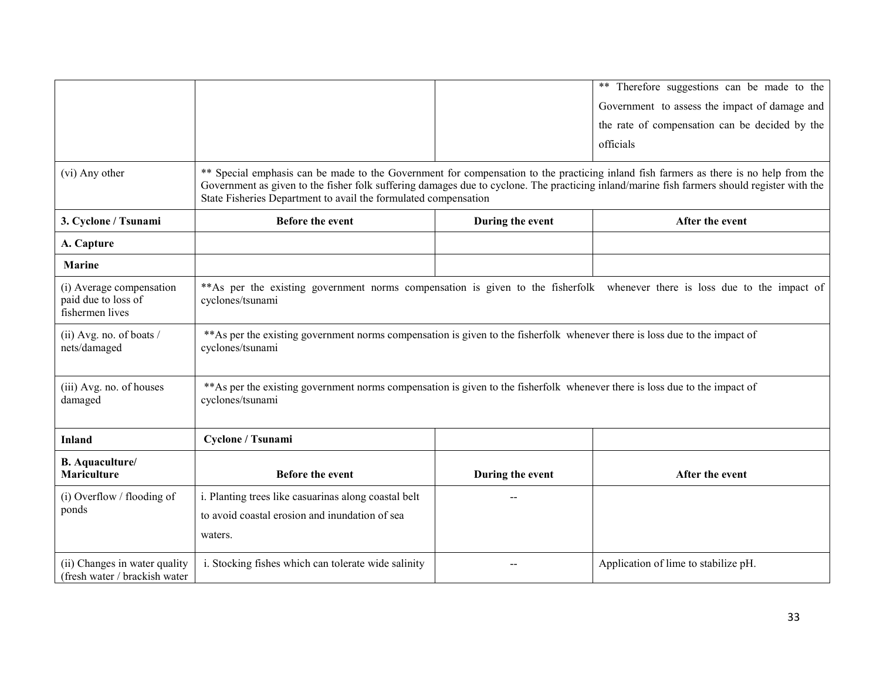|                                                                    |                                                                                                                                                                                                                                                                                                                                                         |                  | ** Therefore suggestions can be made to the<br>Government to assess the impact of damage and<br>the rate of compensation can be decided by the<br>officials |  |
|--------------------------------------------------------------------|---------------------------------------------------------------------------------------------------------------------------------------------------------------------------------------------------------------------------------------------------------------------------------------------------------------------------------------------------------|------------------|-------------------------------------------------------------------------------------------------------------------------------------------------------------|--|
| (vi) Any other                                                     | ** Special emphasis can be made to the Government for compensation to the practicing inland fish farmers as there is no help from the<br>Government as given to the fisher folk suffering damages due to cyclone. The practicing inland/marine fish farmers should register with the<br>State Fisheries Department to avail the formulated compensation |                  |                                                                                                                                                             |  |
| 3. Cyclone / Tsunami                                               | Before the event                                                                                                                                                                                                                                                                                                                                        | During the event | After the event                                                                                                                                             |  |
| A. Capture                                                         |                                                                                                                                                                                                                                                                                                                                                         |                  |                                                                                                                                                             |  |
| <b>Marine</b>                                                      |                                                                                                                                                                                                                                                                                                                                                         |                  |                                                                                                                                                             |  |
| (i) Average compensation<br>paid due to loss of<br>fishermen lives | **As per the existing government norms compensation is given to the fisherfolk whenever there is loss due to the impact of<br>cyclones/tsunami                                                                                                                                                                                                          |                  |                                                                                                                                                             |  |
| (ii) Avg. no. of boats $/$<br>nets/damaged                         | **As per the existing government norms compensation is given to the fisherfolk whenever there is loss due to the impact of<br>cyclones/tsunami                                                                                                                                                                                                          |                  |                                                                                                                                                             |  |
| (iii) Avg. no. of houses<br>damaged                                | **As per the existing government norms compensation is given to the fisherfolk whenever there is loss due to the impact of<br>cyclones/tsunami                                                                                                                                                                                                          |                  |                                                                                                                                                             |  |
| <b>Inland</b>                                                      | Cyclone / Tsunami                                                                                                                                                                                                                                                                                                                                       |                  |                                                                                                                                                             |  |
| <b>B.</b> Aquaculture/<br><b>Mariculture</b>                       | Before the event                                                                                                                                                                                                                                                                                                                                        | During the event | After the event                                                                                                                                             |  |
| (i) Overflow / flooding of<br>ponds                                | i. Planting trees like casuarinas along coastal belt<br>to avoid coastal erosion and inundation of sea<br>waters.                                                                                                                                                                                                                                       |                  |                                                                                                                                                             |  |
| (ii) Changes in water quality<br>(fresh water / brackish water)    | i. Stocking fishes which can tolerate wide salinity                                                                                                                                                                                                                                                                                                     |                  | Application of lime to stabilize pH.                                                                                                                        |  |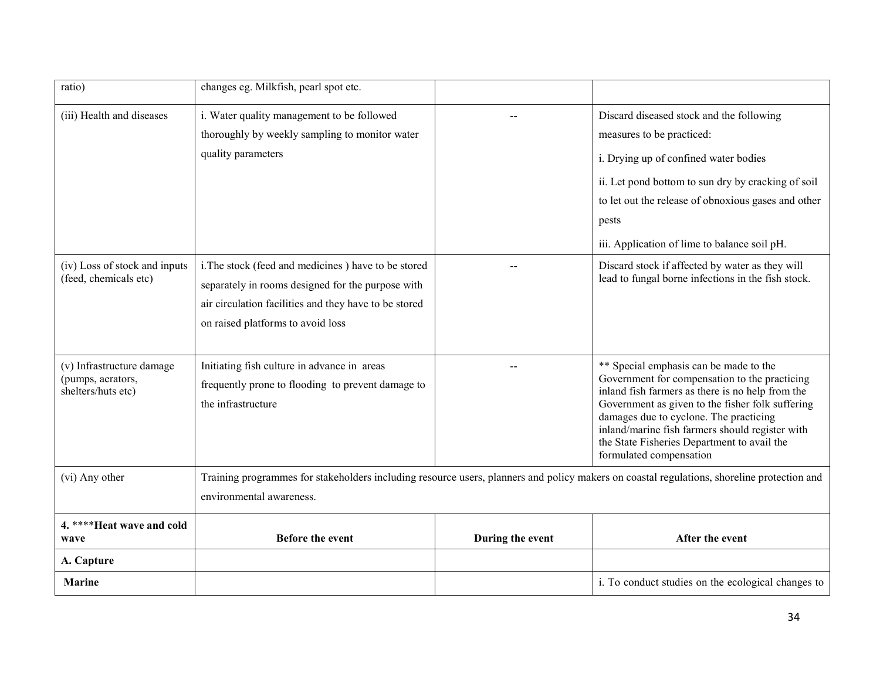| ratio)                                                               | changes eg. Milkfish, pearl spot etc.                                                                                                                                                                  |                  |                                                                                                                                                                                                                                                                                                                                                                        |
|----------------------------------------------------------------------|--------------------------------------------------------------------------------------------------------------------------------------------------------------------------------------------------------|------------------|------------------------------------------------------------------------------------------------------------------------------------------------------------------------------------------------------------------------------------------------------------------------------------------------------------------------------------------------------------------------|
| (iii) Health and diseases                                            | i. Water quality management to be followed<br>thoroughly by weekly sampling to monitor water<br>quality parameters                                                                                     |                  | Discard diseased stock and the following<br>measures to be practiced:<br>i. Drying up of confined water bodies<br>ii. Let pond bottom to sun dry by cracking of soil<br>to let out the release of obnoxious gases and other<br>pests<br>iii. Application of lime to balance soil pH.                                                                                   |
| (iv) Loss of stock and inputs<br>(feed, chemicals etc)               | i. The stock (feed and medicines) have to be stored<br>separately in rooms designed for the purpose with<br>air circulation facilities and they have to be stored<br>on raised platforms to avoid loss |                  | Discard stock if affected by water as they will<br>lead to fungal borne infections in the fish stock.                                                                                                                                                                                                                                                                  |
| (v) Infrastructure damage<br>(pumps, aerators,<br>shelters/huts etc) | Initiating fish culture in advance in areas<br>frequently prone to flooding to prevent damage to<br>the infrastructure                                                                                 |                  | ** Special emphasis can be made to the<br>Government for compensation to the practicing<br>inland fish farmers as there is no help from the<br>Government as given to the fisher folk suffering<br>damages due to cyclone. The practicing<br>inland/marine fish farmers should register with<br>the State Fisheries Department to avail the<br>formulated compensation |
| (vi) Any other                                                       | Training programmes for stakeholders including resource users, planners and policy makers on coastal regulations, shoreline protection and<br>environmental awareness.                                 |                  |                                                                                                                                                                                                                                                                                                                                                                        |
| 4. **** Heat wave and cold<br>wave                                   | <b>Before the event</b>                                                                                                                                                                                | During the event | After the event                                                                                                                                                                                                                                                                                                                                                        |
| A. Capture                                                           |                                                                                                                                                                                                        |                  |                                                                                                                                                                                                                                                                                                                                                                        |
| <b>Marine</b>                                                        |                                                                                                                                                                                                        |                  | i. To conduct studies on the ecological changes to                                                                                                                                                                                                                                                                                                                     |